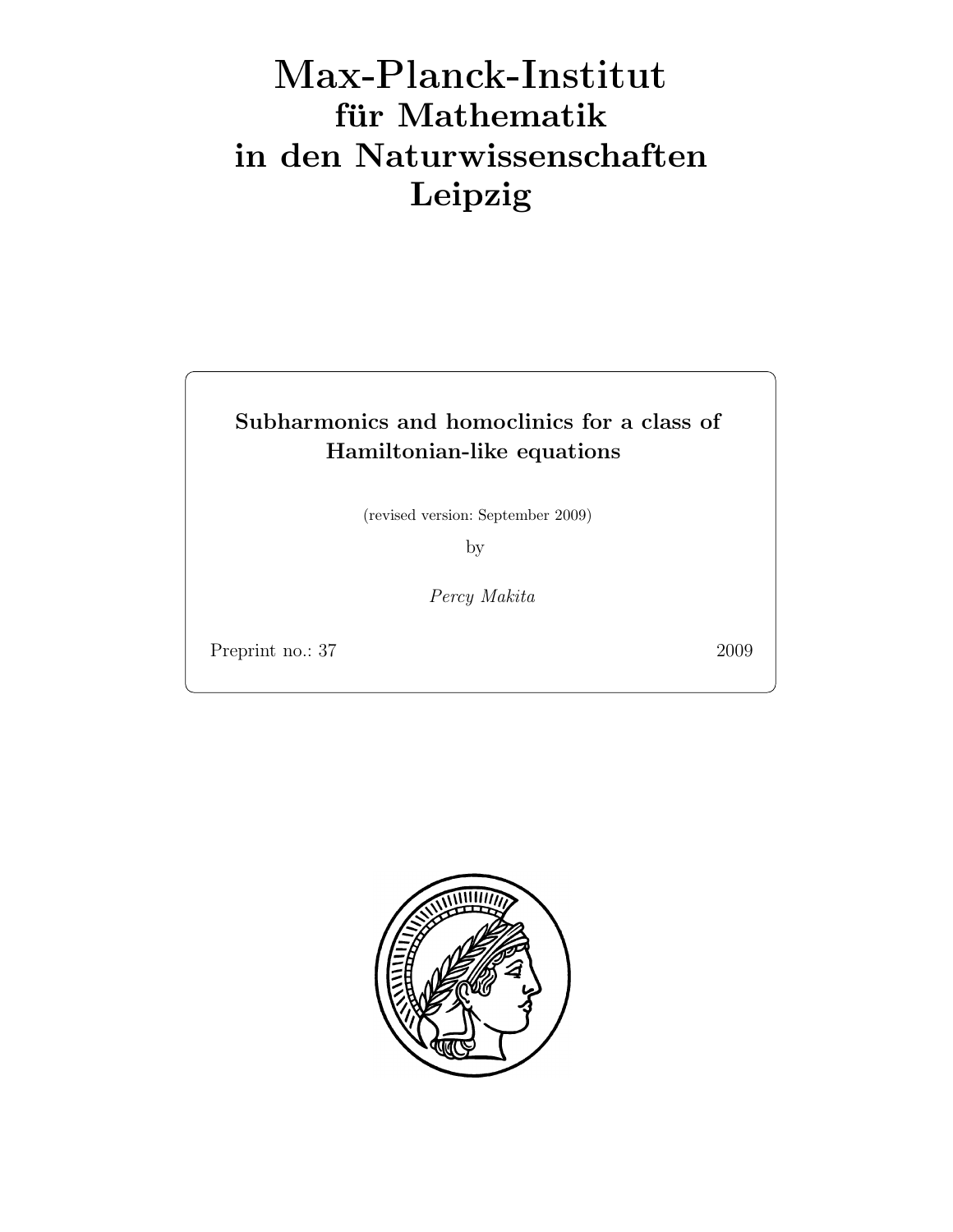# Max-Plan
k-Institut für Mathematik in den Naturwissenschaften Leipzig

## Subharmonics and homoclinics for a class of Hamiltonian-like equations

(revised version: September 2009)

by

Percy Makita

Preprint no.: 37 2009

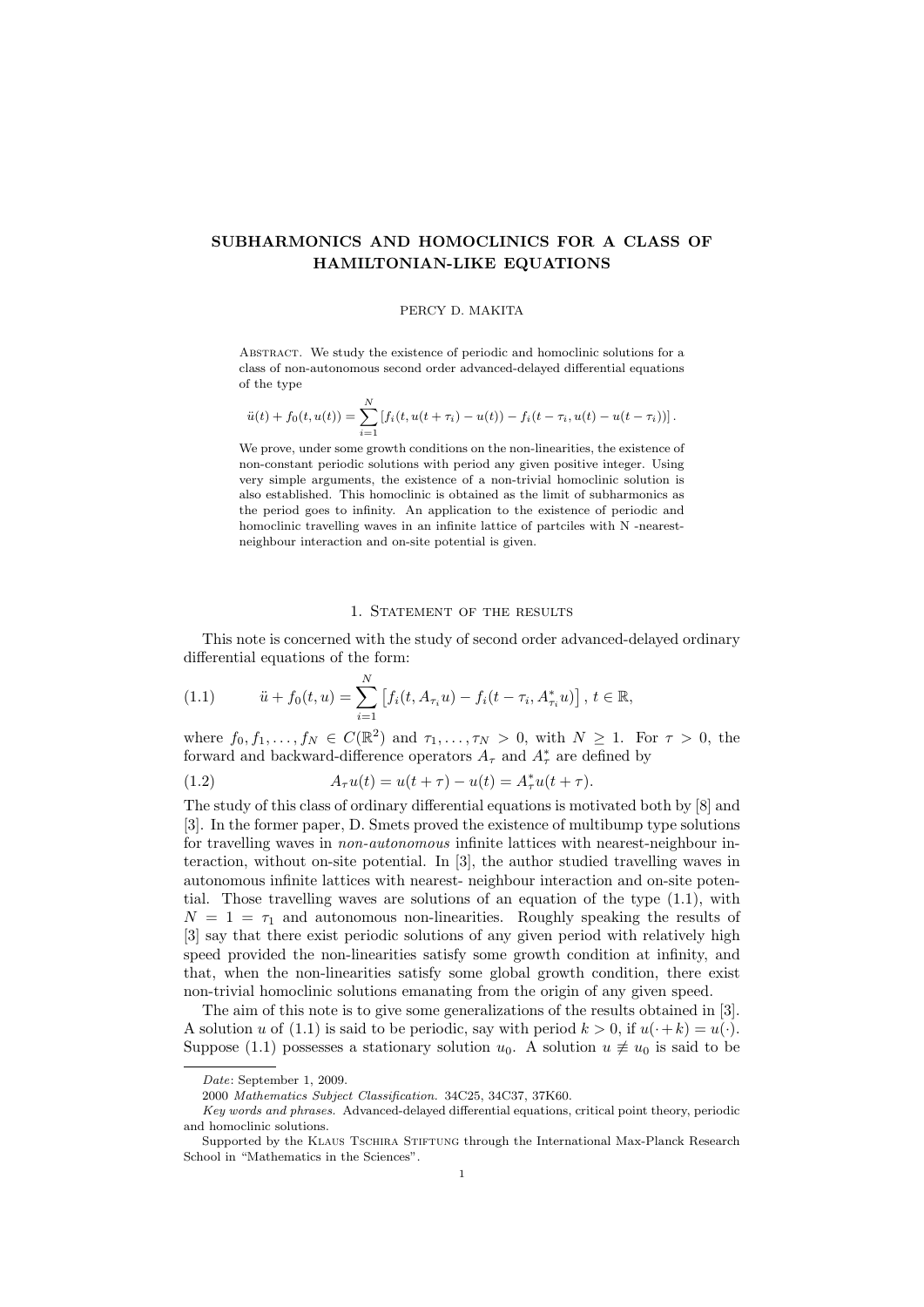### SUBHARMONICS AND HOMOCLINICS FOR A CLASS OF HAMILTONIAN-LIKE EQUATIONS

#### PERCY D. MAKITA

Abstract. We study the existence of periodic and homoclinic solutions for a class of non-autonomous second order advanced-delayed differential equations of the type

$$
\ddot{u}(t) + f_0(t, u(t)) = \sum_{i=1}^N \left[ f_i(t, u(t + \tau_i) - u(t)) - f_i(t - \tau_i, u(t) - u(t - \tau_i)) \right].
$$

We prove, under some growth conditions on the non-linearities, the existence of non-constant periodic solutions with period any given positive integer. Using very simple arguments, the existence of a non-trivial homoclinic solution is also established. This homoclinic is obtained as the limit of subharmonics as the period goes to infinity. An application to the existence of periodic and homoclinic travelling waves in an infinite lattice of partciles with N -nearestneighbour interaction and on-site potential is given.

#### 1. STATEMENT OF THE RESULTS

This note is concerned with the study of second order advanced-delayed ordinary differential equations of the form:

(1.1) 
$$
\ddot{u} + f_0(t, u) = \sum_{i=1}^{N} \left[ f_i(t, A_{\tau_i} u) - f_i(t - \tau_i, A_{\tau_i}^* u) \right], t \in \mathbb{R},
$$

where  $f_0, f_1, \ldots, f_N \in C(\mathbb{R}^2)$  and  $\tau_1, \ldots, \tau_N > 0$ , with  $N \geq 1$ . For  $\tau > 0$ , the forward and backward-difference operators  $A_\tau$  and  $A_\tau^*$  are defined by

(1.2) 
$$
A_{\tau}u(t) = u(t + \tau) - u(t) = A_{\tau}^*u(t + \tau).
$$

The study of this class of ordinary differential equations is motivated both by [8] and [3]. In the former paper, D. Smets proved the existence of multibump type solutions for travelling waves in non-autonomous infinite lattices with nearest-neighbour interaction, without on-site potential. In [3], the author studied travelling waves in autonomous infinite lattices with nearest- neighbour interaction and on-site potential. Those travelling waves are solutions of an equation of the type (1.1), with  $N = 1 = \tau_1$  and autonomous non-linearities. Roughly speaking the results of [3] say that there exist periodic solutions of any given period with relatively high speed provided the non-linearities satisfy some growth condition at infinity, and that, when the non-linearities satisfy some global growth condition, there exist non-trivial homoclinic solutions emanating from the origin of any given speed.

The aim of this note is to give some generalizations of the results obtained in [3]. A solution u of (1.1) is said to be periodic, say with period  $k > 0$ , if  $u(\cdot + k) = u(\cdot)$ . Suppose (1.1) possesses a stationary solution  $u_0$ . A solution  $u \neq u_0$  is said to be

Date: September 1, 2009.

<sup>2000</sup> Mathematics Subject Classification. 34C25, 34C37, 37K60.

Key words and phrases. Advanced-delayed differential equations, critical point theory, periodic and homoclinic solutions.

Supported by the KLAUS TSCHIRA STIFTUNG through the International Max-Planck Research School in "Mathematics in the Sciences".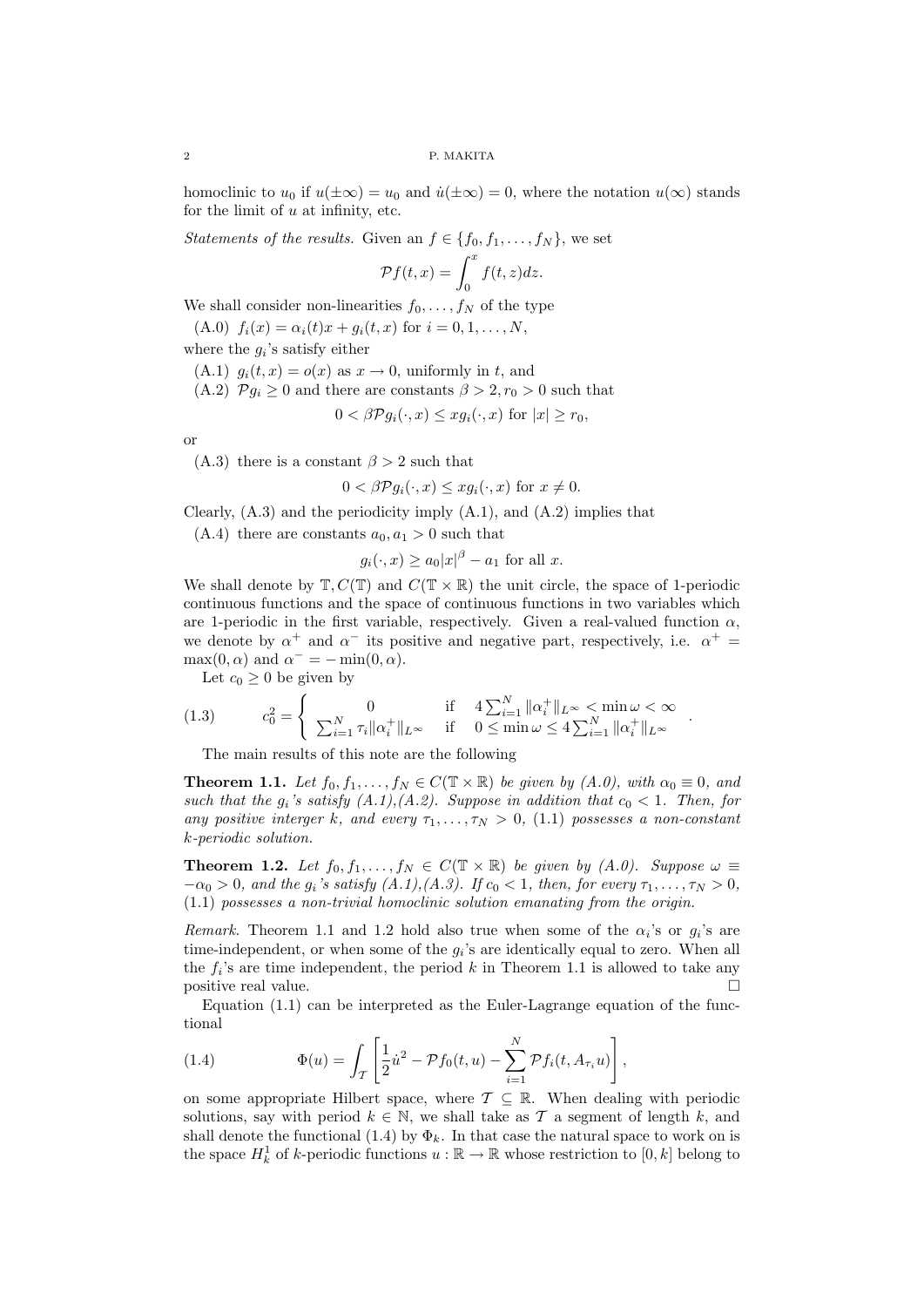homoclinic to  $u_0$  if  $u(\pm\infty) = u_0$  and  $\dot{u}(\pm\infty) = 0$ , where the notation  $u(\infty)$  stands for the limit of  $u$  at infinity, etc.

*Statements of the results.* Given an  $f \in \{f_0, f_1, \ldots, f_N\}$ , we set

$$
\mathcal{P}f(t,x) = \int_0^x f(t,z)dz.
$$

We shall consider non-linearities  $f_0, \ldots, f_N$  of the type

(A.0)  $f_i(x) = \alpha_i(t)x + g_i(t, x)$  for  $i = 0, 1, ..., N$ ,

where the  $g_i$ 's satisfy either

- (A.1)  $g_i(t, x) = o(x)$  as  $x \to 0$ , uniformly in t, and
- (A.2)  $\mathcal{P}g_i \geq 0$  and there are constants  $\beta > 2, r_0 > 0$  such that

$$
0 < \beta \mathcal{P} g_i(\cdot, x) \le x g_i(\cdot, x) \text{ for } |x| \ge r_0,
$$

or

(A.3) there is a constant  $\beta > 2$  such that

$$
0 < \beta \mathcal{P}g_i(\cdot, x) \le xg_i(\cdot, x) \text{ for } x \ne 0.
$$

Clearly,  $(A.3)$  and the periodicity imply  $(A.1)$ , and  $(A.2)$  implies that

(A.4) there are constants  $a_0, a_1 > 0$  such that

$$
g_i(\cdot, x) \ge a_0 |x|^{\beta} - a_1 \text{ for all } x.
$$

We shall denote by  $\mathbb{T}, C(\mathbb{T})$  and  $C(\mathbb{T} \times \mathbb{R})$  the unit circle, the space of 1-periodic continuous functions and the space of continuous functions in two variables which are 1-periodic in the first variable, respectively. Given a real-valued function  $\alpha$ , we denote by  $\alpha^+$  and  $\alpha^-$  its positive and negative part, respectively, i.e.  $\alpha^+$  =  $\max(0, \alpha)$  and  $\alpha^- = -\min(0, \alpha)$ .

Let  $c_0 \geq 0$  be given by

(1.3) 
$$
c_0^2 = \begin{cases} 0 & \text{if } 4 \sum_{i=1}^N ||\alpha_i^+||_{L^\infty} < \min \omega < \infty \\ \sum_{i=1}^N \tau_i ||\alpha_i^+||_{L^\infty} & \text{if } 0 \le \min \omega \le 4 \sum_{i=1}^N ||\alpha_i^+||_{L^\infty} \end{cases}
$$

The main results of this note are the following

**Theorem 1.1.** Let  $f_0, f_1, \ldots, f_N \in C(\mathbb{T} \times \mathbb{R})$  be given by  $(A.0)$ , with  $\alpha_0 \equiv 0$ , and such that the  $g_i$ 's satisfy  $(A.1), (A.2)$ . Suppose in addition that  $c_0 < 1$ . Then, for any positive interger k, and every  $\tau_1, \ldots, \tau_N > 0$ , (1.1) possesses a non-constant k-periodic solution.

.

**Theorem 1.2.** Let  $f_0, f_1, \ldots, f_N \in C(\mathbb{T} \times \mathbb{R})$  be given by  $(A.0)$ . Suppose  $\omega \equiv$  $-\alpha_0 > 0$ , and the  $g_i$ 's satisfy  $(A.1), (A.3)$ . If  $c_0 < 1$ , then, for every  $\tau_1, \ldots, \tau_N > 0$ , (1.1) possesses a non-trivial homoclinic solution emanating from the origin.

*Remark.* Theorem 1.1 and 1.2 hold also true when some of the  $\alpha_i$ 's or  $g_i$ 's are time-independent, or when some of the  $g_i$ 's are identically equal to zero. When all the  $f_i$ 's are time independent, the period k in Theorem 1.1 is allowed to take any positive real value.

Equation (1.1) can be interpreted as the Euler-Lagrange equation of the functional

(1.4) 
$$
\Phi(u) = \int_{\mathcal{T}} \left[ \frac{1}{2} \dot{u}^2 - \mathcal{P} f_0(t, u) - \sum_{i=1}^{N} \mathcal{P} f_i(t, A_{\tau_i} u) \right],
$$

on some appropriate Hilbert space, where  $\mathcal{T} \subseteq \mathbb{R}$ . When dealing with periodic solutions, say with period  $k \in \mathbb{N}$ , we shall take as T a segment of length k, and shall denote the functional (1.4) by  $\Phi_k$ . In that case the natural space to work on is the space  $H_k^1$  of k-periodic functions  $u : \mathbb{R} \to \mathbb{R}$  whose restriction to  $[0, k]$  belong to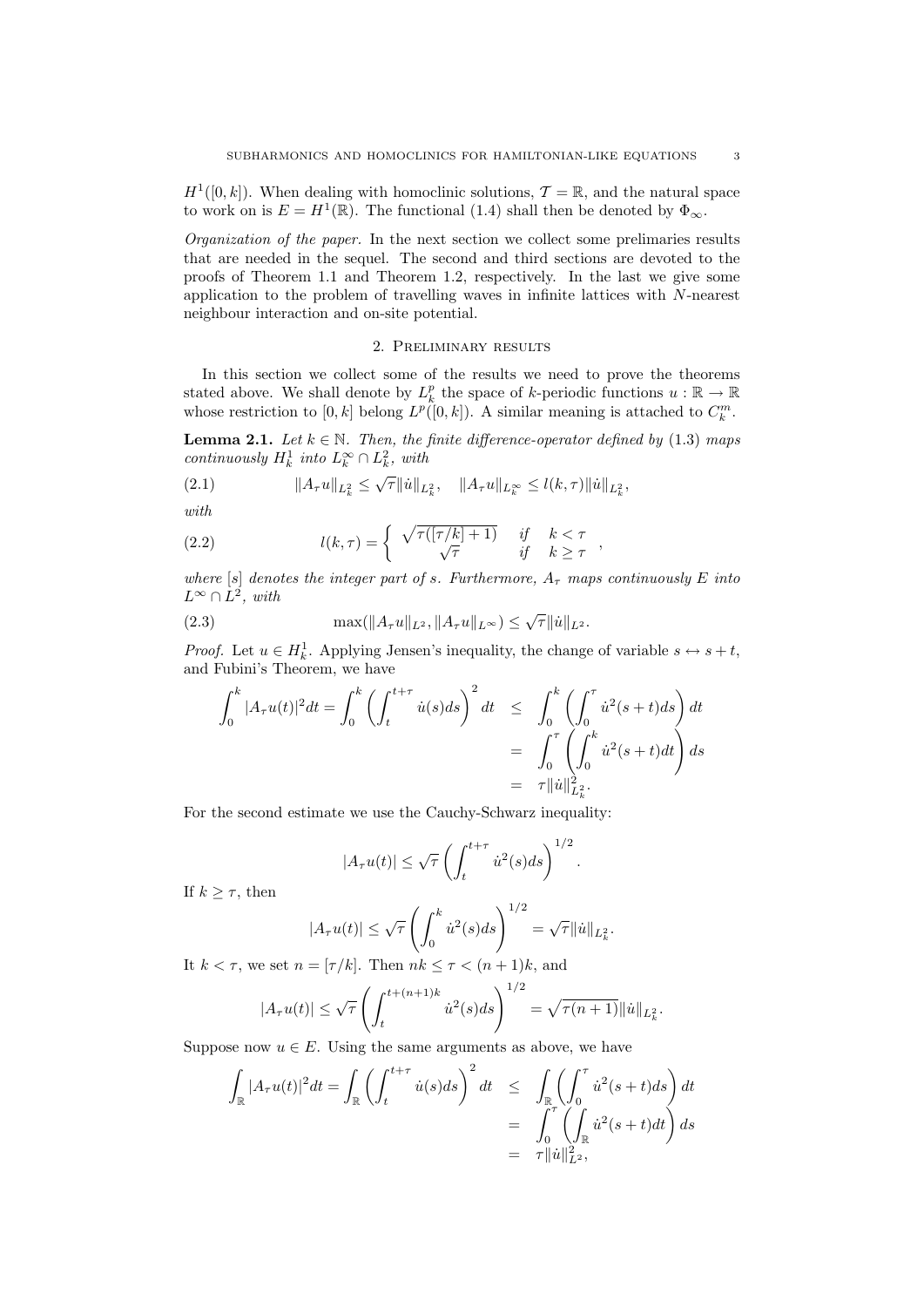$H^1([0,k])$ . When dealing with homoclinic solutions,  $\mathcal{T} = \mathbb{R}$ , and the natural space to work on is  $E = H^1(\mathbb{R})$ . The functional (1.4) shall then be denoted by  $\Phi_{\infty}$ .

Organization of the paper. In the next section we collect some prelimaries results that are needed in the sequel. The second and third sections are devoted to the proofs of Theorem 1.1 and Theorem 1.2, respectively. In the last we give some application to the problem of travelling waves in infinite lattices with N-nearest neighbour interaction and on-site potential.

#### 2. Preliminary results

In this section we collect some of the results we need to prove the theorems stated above. We shall denote by  $L_k^p$  the space of k-periodic functions  $u : \mathbb{R} \to \mathbb{R}$ whose restriction to  $[0, k]$  belong  $L^p([0, k])$ . A similar meaning is attached to  $C_k^m$ .

**Lemma 2.1.** Let  $k \in \mathbb{N}$ . Then, the finite difference-operator defined by (1.3) maps continuously  $H_k^1$  into  $L_k^{\infty} \cap L_k^2$ , with

(2.1) 
$$
||A_{\tau}u||_{L_k^2} \leq \sqrt{\tau}||\dot{u}||_{L_k^2}, \quad ||A_{\tau}u||_{L_k^{\infty}} \leq l(k,\tau)||\dot{u}||_{L_k^2},
$$

with

(2.2) 
$$
l(k,\tau) = \begin{cases} \sqrt{\tau([\tau/k]+1)} & \text{if } k < \tau \\ \sqrt{\tau} & \text{if } k \geq \tau \end{cases}
$$

where  $[s]$  denotes the integer part of s. Furthermore,  $A_{\tau}$  maps continuously E into  $L^{\infty} \cap L^2$ , with

,

(2.3) 
$$
\max(\|A_\tau u\|_{L^2}, \|A_\tau u\|_{L^\infty}) \leq \sqrt{\tau} \|u\|_{L^2}.
$$

*Proof.* Let  $u \in H_k^1$ . Applying Jensen's inequality, the change of variable  $s \leftrightarrow s+t$ , and Fubini's Theorem, we have

$$
\int_0^k |A_\tau u(t)|^2 dt = \int_0^k \left( \int_t^{t+\tau} \dot{u}(s) ds \right)^2 dt \leq \int_0^k \left( \int_0^{\tau} \dot{u}^2(s+t) ds \right) dt
$$
  
= 
$$
\int_0^{\tau} \left( \int_0^k \dot{u}^2(s+t) dt \right) ds
$$
  
= 
$$
\tau ||\dot{u}||^2_{L^2_k}.
$$

For the second estimate we use the Cauchy-Schwarz inequality:

$$
|A_{\tau}u(t)| \leq \sqrt{\tau} \left( \int_{t}^{t+\tau} \dot{u}^{2}(s)ds \right)^{1/2}.
$$

If  $k \geq \tau$ , then

$$
|A_{\tau}u(t)| \leq \sqrt{\tau} \left( \int_0^k \dot{u}^2(s)ds \right)^{1/2} = \sqrt{\tau} ||\dot{u}||_{L^2_k}.
$$

It  $k < \tau$ , we set  $n = \lceil \tau/k \rceil$ . Then  $nk < \tau < (n+1)k$ , and

$$
|A_{\tau}u(t)| \leq \sqrt{\tau} \left( \int_{t}^{t+(n+1)k} \dot{u}^{2}(s)ds \right)^{1/2} = \sqrt{\tau(n+1)} ||\dot{u}||_{L_{k}^{2}}.
$$

Suppose now  $u \in E$ . Using the same arguments as above, we have

$$
\int_{\mathbb{R}} |A_{\tau}u(t)|^2 dt = \int_{\mathbb{R}} \left( \int_t^{t+\tau} \dot{u}(s) ds \right)^2 dt \leq \int_{\mathbb{R}} \left( \int_0^{\tau} \dot{u}^2(s+t) ds \right) dt
$$
  

$$
= \int_0^{\tau} \left( \int_{\mathbb{R}} \dot{u}^2(s+t) dt \right) ds
$$
  

$$
= \tau ||\dot{u}||_{L^2}^2,
$$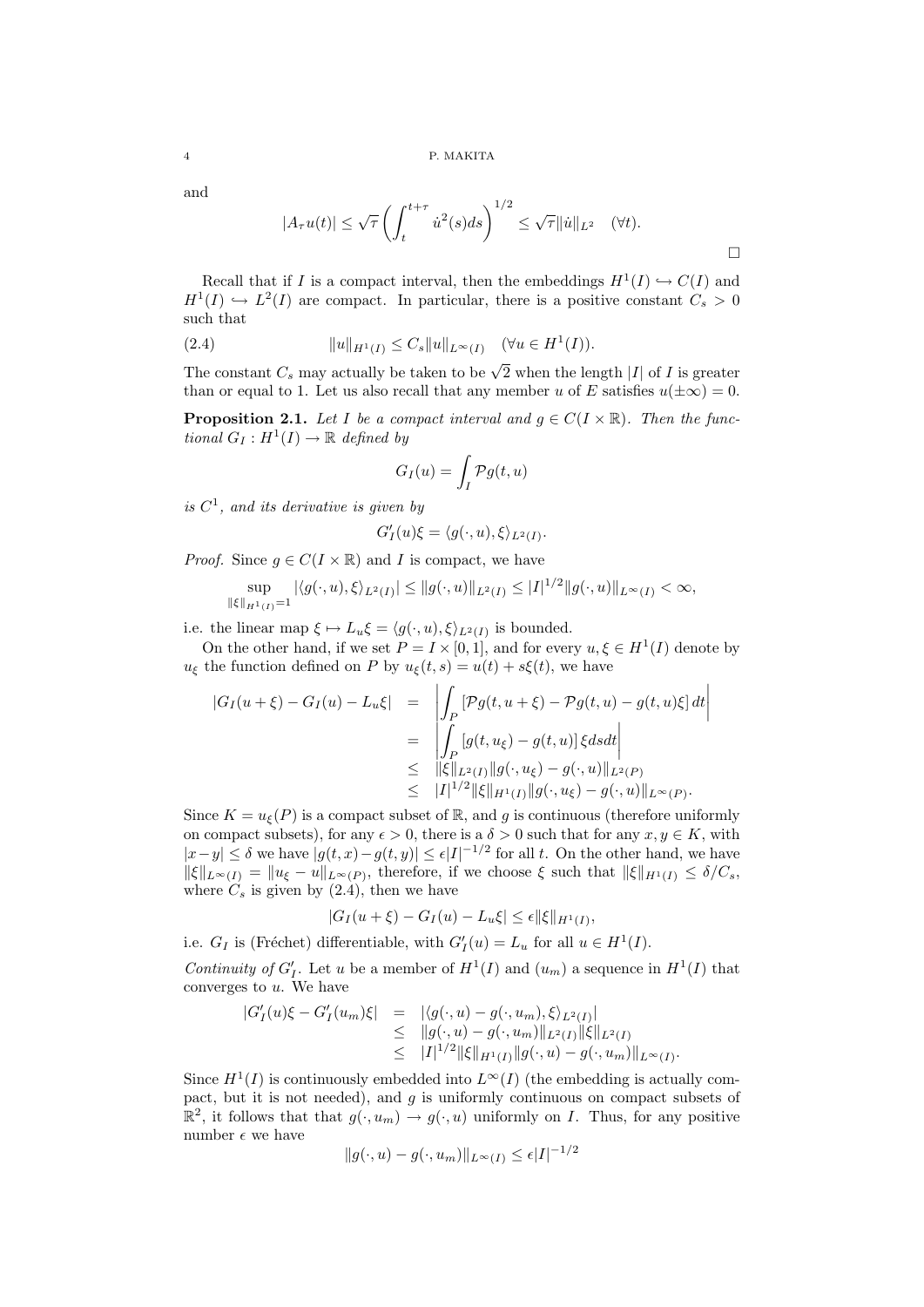and

$$
|A_{\tau}u(t)| \leq \sqrt{\tau} \left( \int_{t}^{t+\tau} \dot{u}^{2}(s)ds \right)^{1/2} \leq \sqrt{\tau} ||\dot{u}||_{L^{2}} \quad (\forall t).
$$

Recall that if I is a compact interval, then the embeddings  $H^1(I) \hookrightarrow C(I)$  and  $H^1(I) \hookrightarrow L^2(I)$  are compact. In particular, there is a positive constant  $C_s > 0$ such that

(2.4) 
$$
||u||_{H^1(I)} \leq C_s ||u||_{L^{\infty}(I)} \quad (\forall u \in H^1(I)).
$$

The constant  $C_s$  may actually be taken to be  $\sqrt{2}$  when the length |I| of I is greater than or equal to 1. Let us also recall that any member u of E satisfies  $u(\pm\infty) = 0$ .

**Proposition 2.1.** Let I be a compact interval and  $q \in C(I \times \mathbb{R})$ . Then the functional  $G_I: H^1(I) \to \mathbb{R}$  defined by

$$
G_I(u) = \int_I \mathcal{P}g(t, u)
$$

is  $C^1$ , and its derivative is given by

|G

$$
G'_I(u)\xi = \langle g(\cdot, u), \xi \rangle_{L^2(I)}.
$$

*Proof.* Since  $g \in C(I \times \mathbb{R})$  and I is compact, we have

$$
\sup_{\|\xi\|_{H^1(I)}=1} |\langle g(\cdot, u), \xi \rangle_{L^2(I)}| \le \|g(\cdot, u)\|_{L^2(I)} \le |I|^{1/2} \|g(\cdot, u)\|_{L^\infty(I)} < \infty,
$$

i.e. the linear map  $\xi \mapsto L_u \xi = \langle g(\cdot, u), \xi \rangle_{L^2(I)}$  is bounded.

On the other hand, if we set  $P = I \times [0, 1]$ , and for every  $u, \xi \in H^1(I)$  denote by  $u_{\xi}$  the function defined on P by  $u_{\xi}(t, s) = u(t) + s\xi(t)$ , we have

$$
|G_{I}(u+\xi) - G_{I}(u) - L_{u}\xi| = \left| \int_{P} \left[ \mathcal{P}g(t, u+\xi) - \mathcal{P}g(t, u) - g(t, u)\xi \right] dt \right|
$$
  
\n
$$
= \left| \int_{P} \left[ g(t, u_{\xi}) - g(t, u) \right] \xi ds dt \right|
$$
  
\n
$$
\leq ||\xi||_{L^{2}(I)} ||g(\cdot, u_{\xi}) - g(\cdot, u)||_{L^{2}(P)}
$$
  
\n
$$
\leq |I|^{1/2} ||\xi||_{H^{1}(I)} ||g(\cdot, u_{\xi}) - g(\cdot, u)||_{L^{\infty}(P)}.
$$

Since  $K = u_{\xi}(P)$  is a compact subset of R, and g is continuous (therefore uniformly on compact subsets), for any  $\epsilon > 0$ , there is a  $\delta > 0$  such that for any  $x, y \in K$ , with  $|x-y| \leq \delta$  we have  $|g(t,x)-g(t,y)| \leq \epsilon |I|^{-1/2}$  for all t. On the other hand, we have  $\|\xi\|_{L^{\infty}(I)} = \|u_{\xi} - u\|_{L^{\infty}(P)}$ , therefore, if we choose  $\xi$  such that  $\|\xi\|_{H^1(I)} \le \delta/C_s$ , where  $C_s$  is given by  $(2.4)$ , then we have

$$
|G_I(u+\xi) - G_I(u) - L_u \xi| \le \epsilon ||\xi||_{H^1(I)},
$$

i.e.  $G_I$  is (Fréchet) differentiable, with  $G'_I(u) = L_u$  for all  $u \in H^1(I)$ .

Continuity of  $G'_I$ . Let u be a member of  $H^1(I)$  and  $(u_m)$  a sequence in  $H^1(I)$  that converges to  $u$ . We have

$$
G'_{I}(u)\xi - G'_{I}(u_{m})\xi| = |\langle g(\cdot, u) - g(\cdot, u_{m}), \xi \rangle_{L^{2}(I)}|
$$
  
\n
$$
\leq ||g(\cdot, u) - g(\cdot, u_{m})||_{L^{2}(I)} ||\xi||_{L^{2}(I)}
$$
  
\n
$$
\leq |I|^{1/2} ||\xi||_{H^{1}(I)} ||g(\cdot, u) - g(\cdot, u_{m})||_{L^{\infty}(I)}.
$$

Since  $H^1(I)$  is continuously embedded into  $L^{\infty}(I)$  (the embedding is actually compact, but it is not needed), and  $g$  is uniformly continuous on compact subsets of  $\mathbb{R}^2$ , it follows that that  $g(\cdot, u_m) \to g(\cdot, u)$  uniformly on *I*. Thus, for any positive number  $\epsilon$  we have

$$
||g(\cdot, u) - g(\cdot, u_m)||_{L^{\infty}(I)} \le \epsilon |I|^{-1/2}
$$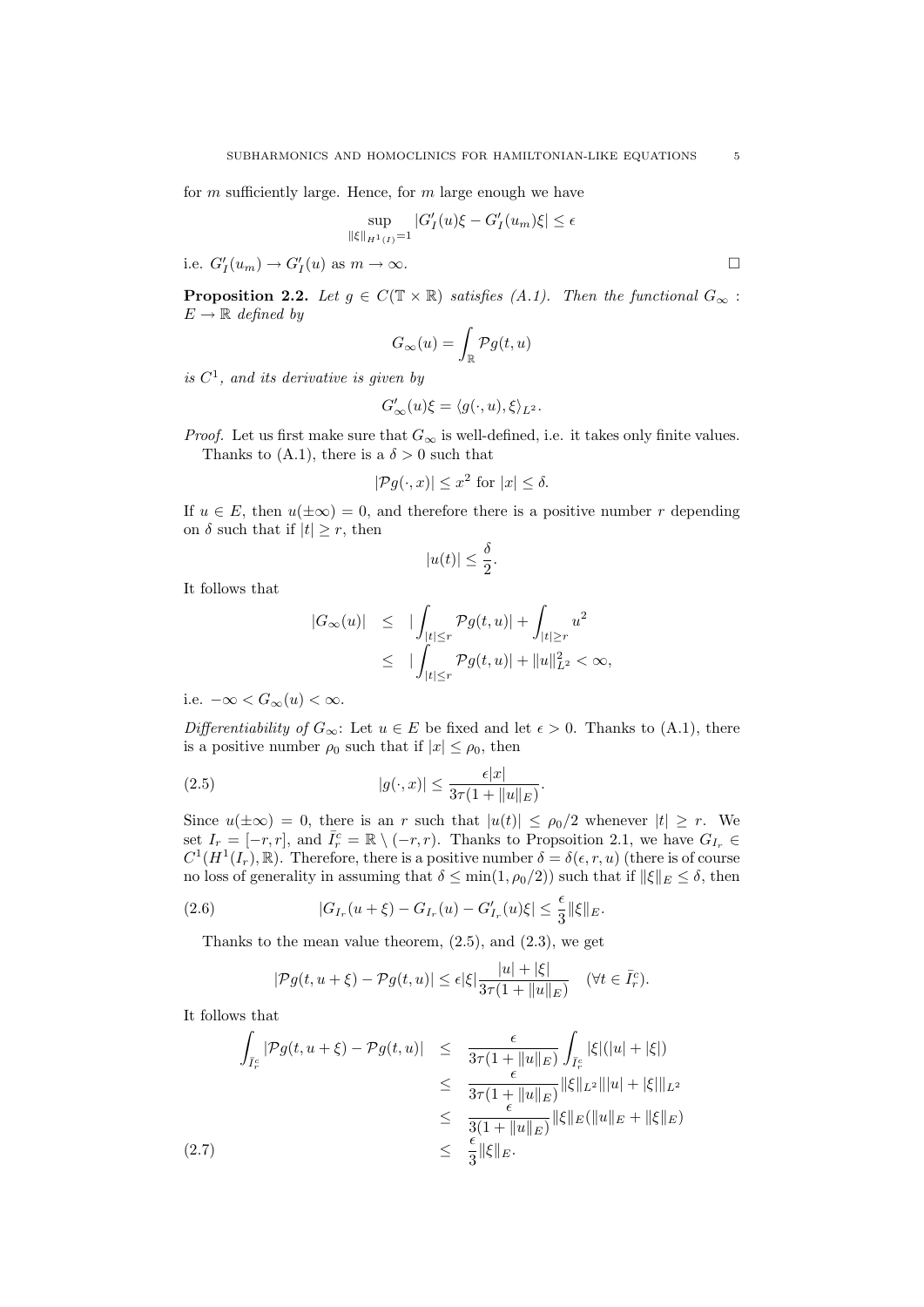for  $m$  sufficiently large. Hence, for  $m$  large enough we have

$$
\sup_{\|\xi\|_{H^1(I)}=1} |G'_I(u)\xi - G'_I(u_m)\xi| \le \epsilon
$$

i.e.  $G'_I(u_m) \to G'_I(u)$  as  $m \to \infty$ .

**Proposition 2.2.** Let  $g \in C(\mathbb{T} \times \mathbb{R})$  satisfies  $(A.1)$ . Then the functional  $G_{\infty}$ :  $E \to \mathbb{R}$  defined by

$$
G_\infty(u)=\int_{\mathbb{R}}\mathcal{P} g(t,u)
$$

is  $C^1$ , and its derivative is given by

$$
G'_{\infty}(u)\xi = \langle g(\cdot, u), \xi \rangle_{L^2}.
$$

*Proof.* Let us first make sure that  $G_{\infty}$  is well-defined, i.e. it takes only finite values. Thanks to (A.1), there is a  $\delta > 0$  such that

$$
|\mathcal{P}g(\cdot,x)| \le x^2 \text{ for } |x| \le \delta.
$$

If  $u \in E$ , then  $u(\pm \infty) = 0$ , and therefore there is a positive number r depending on  $\delta$  such that if  $|t| \geq r$ , then

$$
|u(t)| \le \frac{\delta}{2}.
$$

It follows that

$$
|G_{\infty}(u)| \leq |\int_{|t| \leq r} \mathcal{P}g(t, u)| + \int_{|t| \geq r} u^2
$$
  

$$
\leq |\int_{|t| \leq r} \mathcal{P}g(t, u)| + ||u||_{L^2}^2 < \infty,
$$

i.e.  $-\infty < G_{\infty}(u) < \infty$ .

Differentiability of  $G_{\infty}$ : Let  $u \in E$  be fixed and let  $\epsilon > 0$ . Thanks to (A.1), there is a positive number  $\rho_0$  such that if  $|x| \leq \rho_0$ , then

.

$$
(2.5) \t |g(\cdot, x)| \le \frac{\epsilon |x|}{3\tau (1 + \|u\|_E)}
$$

Since  $u(\pm\infty) = 0$ , there is an r such that  $|u(t)| \leq \rho_0/2$  whenever  $|t| \geq r$ . We set  $I_r = [-r, r]$ , and  $\bar{I}_r^c = \mathbb{R} \setminus (-r, r)$ . Thanks to Propsoition 2.1, we have  $G_{I_r}$  $C^1(H^1(I_r), \mathbb{R})$ . Therefore, there is a positive number  $\delta = \delta(\epsilon, r, u)$  (there is of course no loss of generality in assuming that  $\delta \le \min(1, \rho_0/2)$  such that if  $\|\xi\|_E \le \delta$ , then

(2.6) 
$$
|G_{I_r}(u+\xi)-G_{I_r}(u)-G'_{I_r}(u)\xi|\leq \frac{\epsilon}{3}||\xi||_E.
$$

Thanks to the mean value theorem,  $(2.5)$ , and  $(2.3)$ , we get

$$
|\mathcal{P}g(t, u+\xi) - \mathcal{P}g(t, u)| \leq \epsilon |\xi| \frac{|u| + |\xi|}{3\tau (1 + \|u\|_E)} \quad (\forall t \in \bar{I}_r^c).
$$

It follows that

$$
\int_{\bar{I}_r^c} |\mathcal{P}g(t, u + \xi) - \mathcal{P}g(t, u)| \leq \frac{\epsilon}{3\tau (1 + \|u\|_E)} \int_{\bar{I}_r^c} |\xi|(|u| + |\xi|)
$$
\n
$$
\leq \frac{\epsilon}{3\tau (1 + \|u\|_E)} \|\xi\|_{L^2} \|u\| + |\xi|\|_{L^2}
$$
\n
$$
\leq \frac{\epsilon}{3(1 + \|u\|_E)} \|\xi\|_{L^2} \|u\| + |\xi|\|_{L^2}
$$
\n
$$
\leq \frac{\epsilon}{3} \|\xi\|_E.
$$
\n(2.7)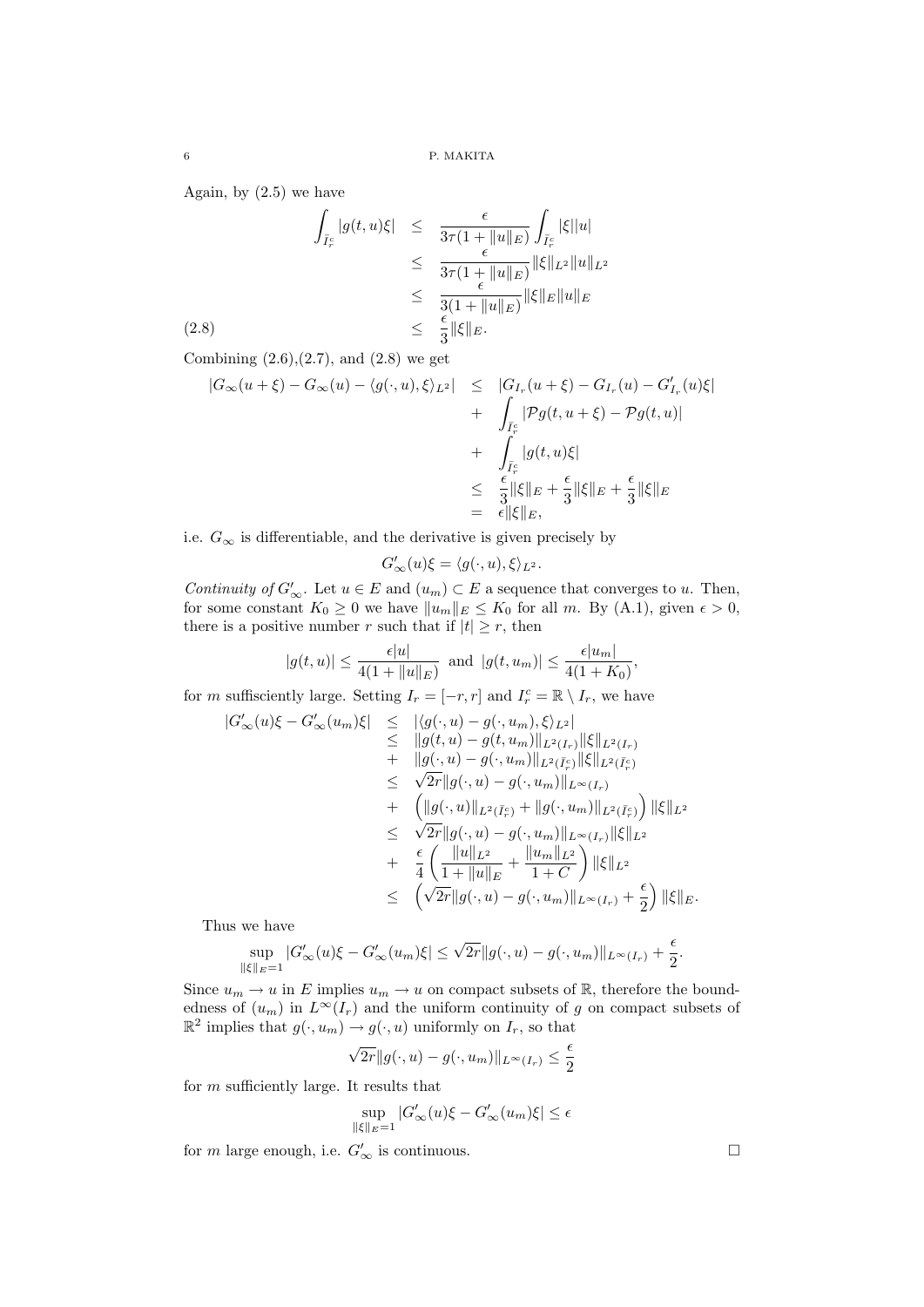Again, by  $(2.5)$  we have

$$
\int_{\bar{I}_r^c} |g(t, u)\xi| \leq \frac{\epsilon}{3\tau (1 + \|u\|_E)} \int_{\bar{I}_r^c} |\xi| |u|
$$
\n
$$
\leq \frac{\epsilon}{3\tau (1 + \|u\|_E)} \|\xi\|_{L^2} \|u\|_{L^2}
$$
\n
$$
\leq \frac{\epsilon}{3(1 + \|u\|_E)} \|\xi\|_E \|u\|_E
$$
\n(2.8)\n
$$
\leq \frac{\epsilon}{3} \|\xi\|_E.
$$

Combining  $(2.6), (2.7),$  and  $(2.8)$  we get

$$
|G_{\infty}(u+\xi) - G_{\infty}(u) - \langle g(\cdot, u), \xi \rangle_{L^2}| \leq |G_{I_r}(u+\xi) - G_{I_r}(u) - G'_{I_r}(u)\xi|
$$
  
+ 
$$
\int_{\overline{I}_r^c} |\mathcal{P}g(t, u+\xi) - \mathcal{P}g(t, u)|
$$
  
+ 
$$
\int_{\overline{I}_r^c} |g(t, u)\xi|
$$
  

$$
\leq \frac{\epsilon}{3} ||\xi||_E + \frac{\epsilon}{3} ||\xi||_E + \frac{\epsilon}{3} ||\xi||_E
$$
  
= 
$$
\epsilon ||\xi||_E,
$$

i.e.  $G_{\infty}$  is differentiable, and the derivative is given precisely by

$$
G'_{\infty}(u)\xi = \langle g(\cdot, u), \xi \rangle_{L^2}.
$$

Continuity of  $G'_{\infty}$ . Let  $u \in E$  and  $(u_m) \subset E$  a sequence that converges to u. Then, for some constant  $K_0 \ge 0$  we have  $||u_m||_E \le K_0$  for all m. By (A.1), given  $\epsilon > 0$ , there is a positive number r such that if  $|t| \ge r$ , then

$$
|g(t, u)| \leq \frac{\epsilon |u|}{4(1 + \|u\|_E)} \text{ and } |g(t, u_m)| \leq \frac{\epsilon |u_m|}{4(1 + K_0)},
$$

for m suffisciently large. Setting  $I_r = [-r, r]$  and  $I_r^c = \mathbb{R} \setminus I_r$ , we have

$$
|G'_{\infty}(u)\xi - G'_{\infty}(u_m)\xi| \leq |\langle g(\cdot, u) - g(\cdot, u_m), \xi \rangle_{L^2}|\leq ||g(t, u) - g(t, u_m)||_{L^2(I_r)} ||\xi||_{L^2(I_r)}+ ||g(\cdot, u) - g(\cdot, u_m)||_{L^2(I_r^c)} ||\xi||_{L^2(I_r^c)}\leq \sqrt{2r}||g(\cdot, u) - g(\cdot, u_m)||_{L^{\infty}(I_r)}+ (||g(\cdot, u)||_{L^2(I_r^c)} + ||g(\cdot, u_m)||_{L^2(I_r^c)}) ||\xi||_{L^2}\leq \sqrt{2r}||g(\cdot, u) - g(\cdot, u_m)||_{L^{\infty}(I_r)} ||\xi||_{L^2}+ \frac{\epsilon}{4} \left( \frac{||u||_{L^2}}{1 + ||u||_E} + \frac{||u_m||_{L^2}}{1 + C} \right) ||\xi||_{L^2}\leq (\sqrt{2r}||g(\cdot, u) - g(\cdot, u_m)||_{L^{\infty}(I_r)} + \frac{\epsilon}{2}) ||\xi||_E.
$$

Thus we have

$$
\sup_{\|\xi\|_E=1} |G'_{\infty}(u)\xi - G'_{\infty}(u_m)\xi| \leq \sqrt{2r} \|g(\cdot, u) - g(\cdot, u_m)\|_{L^{\infty}(I_r)} + \frac{\epsilon}{2}.
$$

Since  $u_m \to u$  in E implies  $u_m \to u$  on compact subsets of  $\mathbb{R}$ , therefore the boundedness of  $(u_m)$  in  $L^{\infty}(I_r)$  and the uniform continuity of g on compact subsets of  $\mathbb{R}^2$  implies that  $g(\cdot, u_m) \to g(\cdot, u)$  uniformly on  $I_r$ , so that

$$
\sqrt{2r}||g(\cdot,u)-g(\cdot,u_m)||_{L^{\infty}(I_r)} \leq \frac{\epsilon}{2}
$$

for  $m$  sufficiently large. It results that

$$
\sup_{\|\xi\|_E=1} |G'_{\infty}(u)\xi - G'_{\infty}(u_m)\xi| \le \epsilon
$$

for *m* large enough, i.e.  $G'_{\infty}$  is continuous.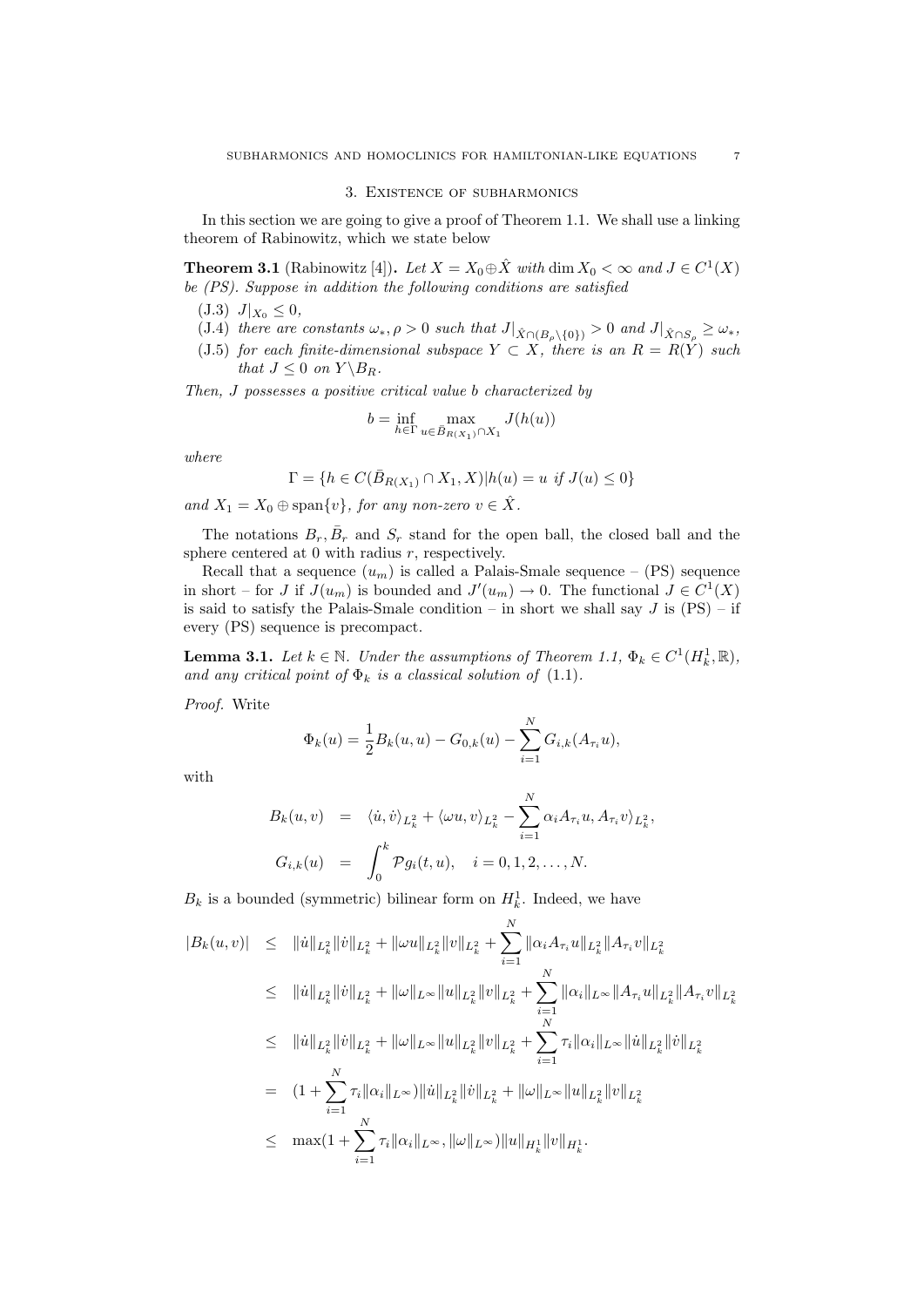#### 3. Existence of subharmonics

In this section we are going to give a proof of Theorem 1.1. We shall use a linking theorem of Rabinowitz, which we state below

**Theorem 3.1** (Rabinowitz [4]). Let  $X = X_0 \oplus \hat{X}$  with dim  $X_0 < \infty$  and  $J \in C^1(X)$ be (PS). Suppose in addition the following conditions are satisfied

(J.3)  $J|_{X_0} \leq 0$ ,

- (J.4) there are constants  $\omega_*, \rho > 0$  such that  $J|_{\hat{X} \cap (B_\rho \setminus \{0\})} > 0$  and  $J|_{\hat{X} \cap S_\rho} \ge \omega_*,$
- (J.5) for each finite-dimensional subspace  $Y \subset X$ , there is an  $R = R(Y)$  such that  $J \leq 0$  on  $Y \backslash B_R$ .

Then, J possesses a positive critical value b characterized by

$$
b = \inf_{h \in \Gamma} \max_{u \in \bar{B}_{R(X_1)} \cap X_1} J(h(u))
$$

where

$$
\Gamma=\{h\in C(\bar B_{R(X_1)}\cap X_1,X)| h(u)=u\textit{ if }J(u)\leq 0\}
$$

and  $X_1 = X_0 \oplus \text{span}\{v\}$ , for any non-zero  $v \in \hat{X}$ .

The notations  $B_r$ ,  $\bar{B}_r$  and  $S_r$  stand for the open ball, the closed ball and the sphere centered at  $0$  with radius  $r$ , respectively.

Recall that a sequence  $(u_m)$  is called a Palais-Smale sequence – (PS) sequence in short – for J if  $J(u_m)$  is bounded and  $J'(u_m) \to 0$ . The functional  $J \in C^1(X)$ is said to satisfy the Palais-Smale condition – in short we shall say  $J$  is  $(PS)$  – if every (PS) sequence is precompact.

**Lemma 3.1.** Let  $k \in \mathbb{N}$ . Under the assumptions of Theorem 1.1,  $\Phi_k \in C^1(H_k^1, \mathbb{R})$ , and any critical point of  $\Phi_k$  is a classical solution of (1.1).

Proof. Write

$$
\Phi_k(u) = \frac{1}{2} B_k(u, u) - G_{0,k}(u) - \sum_{i=1}^N G_{i,k}(A_{\tau_i}u),
$$

with

$$
B_k(u, v) = \langle \dot{u}, \dot{v} \rangle_{L_k^2} + \langle \omega u, v \rangle_{L_k^2} - \sum_{i=1}^N \alpha_i A_{\tau_i} u, A_{\tau_i} v \rangle_{L_k^2}
$$
  

$$
G_{i,k}(u) = \int_0^k \mathcal{P}g_i(t, u), \quad i = 0, 1, 2, \dots, N.
$$

,

 $B_k$  is a bounded (symmetric) bilinear form on  $H_k^1$ . Indeed, we have

$$
|B_{k}(u,v)| \leq \| \dot{u} \|_{L_{k}^{2}} \| \dot{v} \|_{L_{k}^{2}} + \| \omega u \|_{L_{k}^{2}} \| v \|_{L_{k}^{2}} + \sum_{i=1}^{N} \| \alpha_{i} A_{\tau_{i}} u \|_{L_{k}^{2}} \| A_{\tau_{i}} v \|_{L_{k}^{2}}
$$
  
\n
$$
\leq \| \dot{u} \|_{L_{k}^{2}} \| \dot{v} \|_{L_{k}^{2}} + \| \omega \|_{L^{\infty}} \| u \|_{L_{k}^{2}} \| v \|_{L_{k}^{2}} + \sum_{i=1}^{N} \| \alpha_{i} \|_{L^{\infty}} \| A_{\tau_{i}} u \|_{L_{k}^{2}} \| A_{\tau_{i}} v \|_{L_{k}^{2}}
$$
  
\n
$$
\leq \| \dot{u} \|_{L_{k}^{2}} \| \dot{v} \|_{L_{k}^{2}} + \| \omega \|_{L^{\infty}} \| u \|_{L_{k}^{2}} \| v \|_{L_{k}^{2}} + \sum_{i=1}^{N} \tau_{i} \| \alpha_{i} \|_{L^{\infty}} \| \dot{u} \|_{L_{k}^{2}} \| \dot{v} \|_{L_{k}^{2}}
$$
  
\n
$$
= (1 + \sum_{i=1}^{N} \tau_{i} \| \alpha_{i} \|_{L^{\infty}}) \| \dot{u} \|_{L_{k}^{2}} \| \dot{v} \|_{L_{k}^{2}} + \| \omega \|_{L^{\infty}} \| u \|_{L_{k}^{2}} \| v \|_{L_{k}^{2}}
$$
  
\n
$$
\leq \max (1 + \sum_{i=1}^{N} \tau_{i} \| \alpha_{i} \|_{L^{\infty}}, \| \omega \|_{L^{\infty}}) \| u \|_{H_{k}^{1}} \| v \|_{H_{k}^{1}}.
$$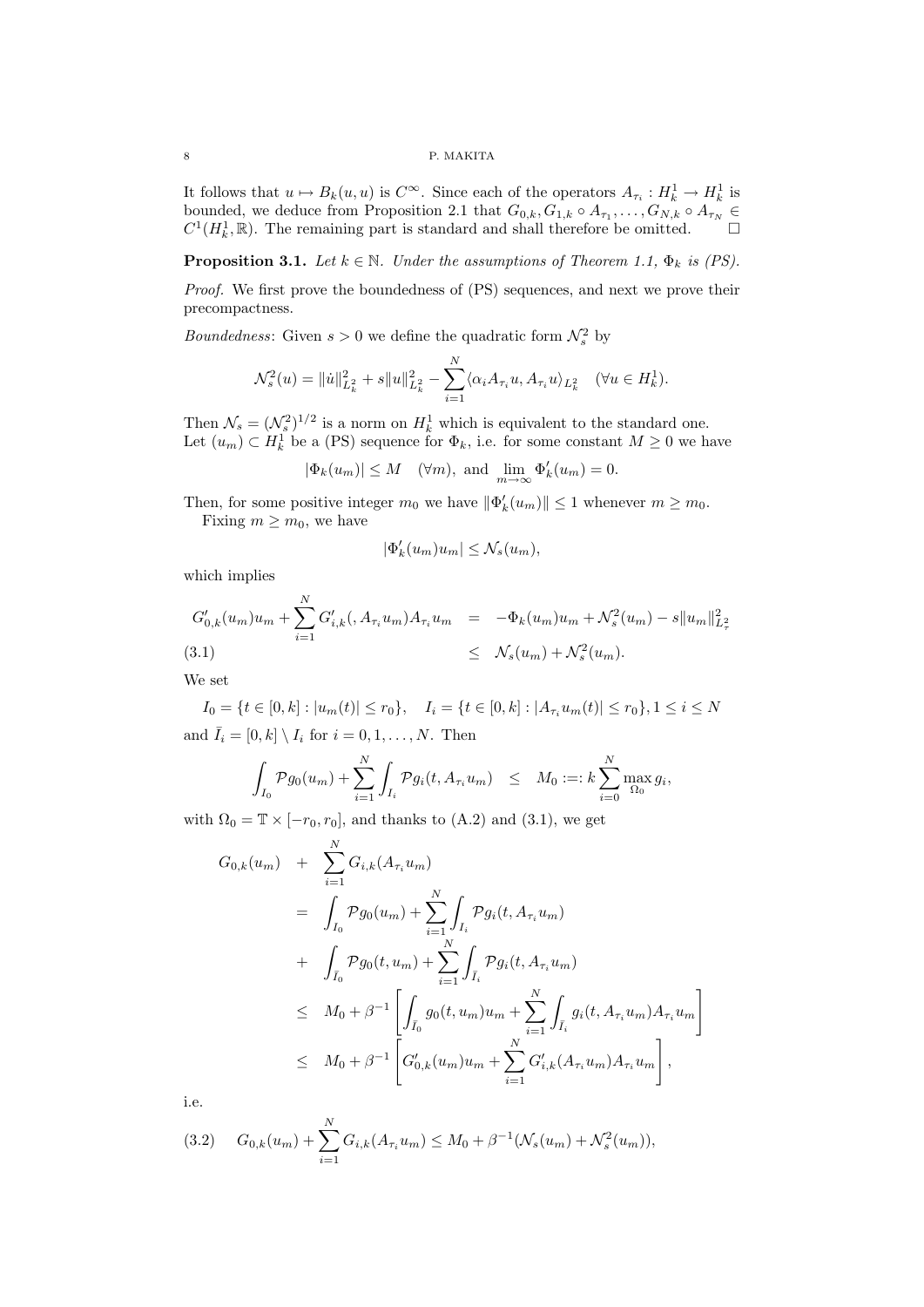#### 8 P. MAKITA

It follows that  $u \mapsto B_k(u, u)$  is  $C^{\infty}$ . Since each of the operators  $A_{\tau_i}: H_k^1 \to H_k^1$  is bounded, we deduce from Proposition 2.1 that  $G_{0,k}, G_{1,k} \circ A_{\tau_1}, \ldots, G_{N,k} \circ A_{\tau_N} \in$  $C^1(H_k^1,\mathbb{R})$ . The remaining part is standard and shall therefore be omitted.  $\square$ 

**Proposition 3.1.** Let  $k \in \mathbb{N}$ . Under the assumptions of Theorem 1.1,  $\Phi_k$  is (PS).

Proof. We first prove the boundedness of (PS) sequences, and next we prove their precompactness.

*Boundedness*: Given  $s > 0$  we define the quadratic form  $\mathcal{N}_s^2$  by

$$
\mathcal{N}_s^2(u) = \| \dot{u} \|_{L_k^2}^2 + s \| u \|_{L_k^2}^2 - \sum_{i=1}^N \langle \alpha_i A_{\tau_i} u, A_{\tau_i} u \rangle_{L_k^2} \quad (\forall u \in H_k^1).
$$

Then  $\mathcal{N}_s = (\mathcal{N}_s^2)^{1/2}$  is a norm on  $H_k^1$  which is equivalent to the standard one. Let  $(u_m) \subset H_k^1$  be a (PS) sequence for  $\Phi_k$ , i.e. for some constant  $M \geq 0$  we have

$$
|\Phi_k(u_m)| \leq M
$$
 ( $\forall m$ ), and  $\lim_{m \to \infty} \Phi'_k(u_m) = 0$ .

Then, for some positive integer  $m_0$  we have  $\|\Phi'_k(u_m)\| \leq 1$  whenever  $m \geq m_0$ . Fixing  $m \geq m_0$ , we have

$$
|\Phi'_k(u_m)u_m| \leq \mathcal{N}_s(u_m),
$$

which implies

$$
G'_{0,k}(u_m)u_m + \sum_{i=1}^N G'_{i,k}(,A_{\tau_i}u_m)A_{\tau_i}u_m = -\Phi_k(u_m)u_m + \mathcal{N}_s^2(u_m) - s||u_m||_{L^2_{\tau}}^2
$$
\n(3.1)\n
$$
\leq \mathcal{N}_s(u_m) + \mathcal{N}_s^2(u_m).
$$

We set

 $I_0 = \{t \in [0, k] : |u_m(t)| \le r_0\}, \quad I_i = \{t \in [0, k] : |A_{\tau_i}u_m(t)| \le r_0\}, \quad 1 \le i \le N$ and  $\bar{I}_i = [0, k] \setminus I_i$  for  $i = 0, 1, \ldots, N$ . Then

$$
\int_{I_0} \mathcal{P}g_0(u_m) + \sum_{i=1}^N \int_{I_i} \mathcal{P}g_i(t, A_{\tau_i} u_m) \leq M_0 :=: k \sum_{i=0}^N \max_{\Omega_0} g_i,
$$

with  $\Omega_0 = \mathbb{T} \times [-r_0, r_0]$ , and thanks to (A.2) and (3.1), we get

$$
G_{0,k}(u_m) + \sum_{i=1}^{N} G_{i,k}(A_{\tau_i}u_m)
$$
  
=  $\int_{I_0} \mathcal{P}g_0(u_m) + \sum_{i=1}^{N} \int_{I_i} \mathcal{P}g_i(t, A_{\tau_i}u_m)$   
+  $\int_{\bar{I}_0} \mathcal{P}g_0(t, u_m) + \sum_{i=1}^{N} \int_{\bar{I}_i} \mathcal{P}g_i(t, A_{\tau_i}u_m)$   
 $\leq M_0 + \beta^{-1} \left[ \int_{\bar{I}_0} g_0(t, u_m)u_m + \sum_{i=1}^{N} \int_{\bar{I}_i} g_i(t, A_{\tau_i}u_m)A_{\tau_i}u_m \right]$   
 $\leq M_0 + \beta^{-1} \left[ G'_{0,k}(u_m)u_m + \sum_{i=1}^{N} G'_{i,k}(A_{\tau_i}u_m)A_{\tau_i}u_m \right],$ 

i.e.

$$
(3.2) \tG_{0,k}(u_m) + \sum_{i=1}^N G_{i,k}(A_{\tau_i}u_m) \le M_0 + \beta^{-1}(\mathcal{N}_s(u_m) + \mathcal{N}_s^2(u_m)),
$$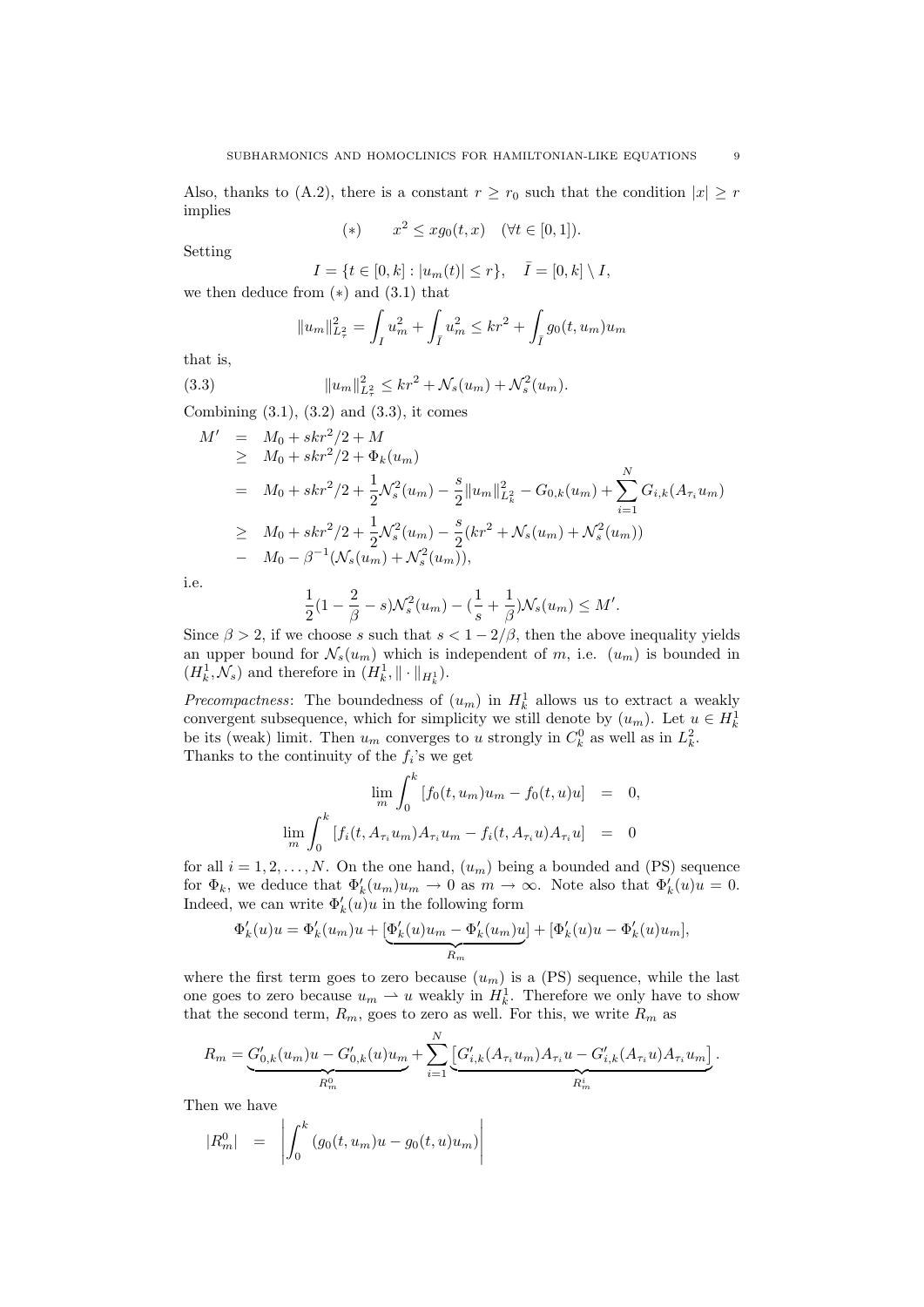Also, thanks to (A.2), there is a constant  $r \ge r_0$  such that the condition  $|x| \ge r$ implies

(\*) 
$$
x^2 \le xg_0(t, x)
$$
  $(\forall t \in [0, 1]).$ 

Setting

 $I = \{t \in [0, k] : |u_m(t)| \le r\}, \quad \bar{I} = [0, k] \setminus I,$ we then deduce from  $(*)$  and  $(3.1)$  that

$$
||u_m||_{L^2_{\tau}}^2 = \int_I u_m^2 + \int_{\bar{I}} u_m^2 \le kr^2 + \int_{\bar{I}} g_0(t, u_m)u_m
$$

that is,

(3.3) 
$$
||u_m||_{L^2}^2 \le kr^2 + \mathcal{N}_s(u_m) + \mathcal{N}_s^2(u_m).
$$

Combining  $(3.1)$ ,  $(3.2)$  and  $(3.3)$ , it comes

$$
M' = M_0 + skr^2/2 + M
$$
  
\n
$$
\geq M_0 + skr^2/2 + \Phi_k(u_m)
$$
  
\n
$$
= M_0 + skr^2/2 + \frac{1}{2} \mathcal{N}_s^2(u_m) - \frac{s}{2} ||u_m||_{L_k^2}^2 - G_{0,k}(u_m) + \sum_{i=1}^N G_{i,k}(A_{\tau_i}u_m)
$$
  
\n
$$
\geq M_0 + skr^2/2 + \frac{1}{2} \mathcal{N}_s^2(u_m) - \frac{s}{2}(kr^2 + \mathcal{N}_s(u_m) + \mathcal{N}_s^2(u_m))
$$
  
\n
$$
= M_0 - \beta^{-1}(\mathcal{N}_s(u_m) + \mathcal{N}_s^2(u_m)),
$$

i.e.

$$
\frac{1}{2}(1-\frac{2}{\beta}-s)\mathcal{N}_s^2(u_m) - (\frac{1}{s}+\frac{1}{\beta})\mathcal{N}_s(u_m) \le M'.
$$

Since  $\beta > 2$ , if we choose s such that  $s < 1 - 2/\beta$ , then the above inequality yields an upper bound for  $\mathcal{N}_s(u_m)$  which is independent of m, i.e.  $(u_m)$  is bounded in  $(H_k^1, \mathcal{N}_s)$  and therefore in  $(H_k^1, \|\cdot\|_{H_k^1})$ .

*Precompactness*: The boundedness of  $(u_m)$  in  $H_k^1$  allows us to extract a weakly convergent subsequence, which for simplicity we still denote by  $(u_m)$ . Let  $u \in H_k^1$ be its (weak) limit. Then  $u_m$  converges to u strongly in  $C_k^0$  as well as in  $L_k^2$ . Thanks to the continuity of the  $f_i$ 's we get

$$
\lim_{m} \int_{0}^{k} [f_0(t, u_m)u_m - f_0(t, u)u] = 0,
$$
  

$$
\lim_{m} \int_{0}^{k} [f_i(t, A_{\tau_i}u_m)A_{\tau_i}u_m - f_i(t, A_{\tau_i}u)A_{\tau_i}u] = 0
$$

for all  $i = 1, 2, ..., N$ . On the one hand,  $(u_m)$  being a bounded and (PS) sequence for  $\Phi_k$ , we deduce that  $\Phi'_k(u_m)u_m \to 0$  as  $m \to \infty$ . Note also that  $\Phi'_k(u)u = 0$ . Indeed, we can write  $\Phi'_k(u)u$  in the following form

$$
\Phi'_k(u)u = \Phi'_k(u_m)u + \underbrace{[\Phi'_k(u)u_m - \Phi'_k(u_m)u]}_{R_m} + [\Phi'_k(u)u - \Phi'_k(u)u_m],
$$

where the first term goes to zero because  $(u_m)$  is a (PS) sequence, while the last one goes to zero because  $u_m \rightharpoonup u$  weakly in  $H_k^1$ . Therefore we only have to show that the second term,  $R_m$ , goes to zero as well. For this, we write  $R_m$  as

 $\overline{N}$ 

$$
R_m = \underbrace{G'_{0,k}(u_m)u - G'_{0,k}(u)u_m}_{R_m^0} + \sum_{i=1}^N \underbrace{[G'_{i,k}(A_{\tau_i}u_m)A_{\tau_i}u - G'_{i,k}(A_{\tau_i}u)A_{\tau_i}u_m]}_{R_m^i}.
$$

Then we have

$$
|R_m^0| = \left| \int_0^k (g_0(t, u_m)u - g_0(t, u)u_m) \right|
$$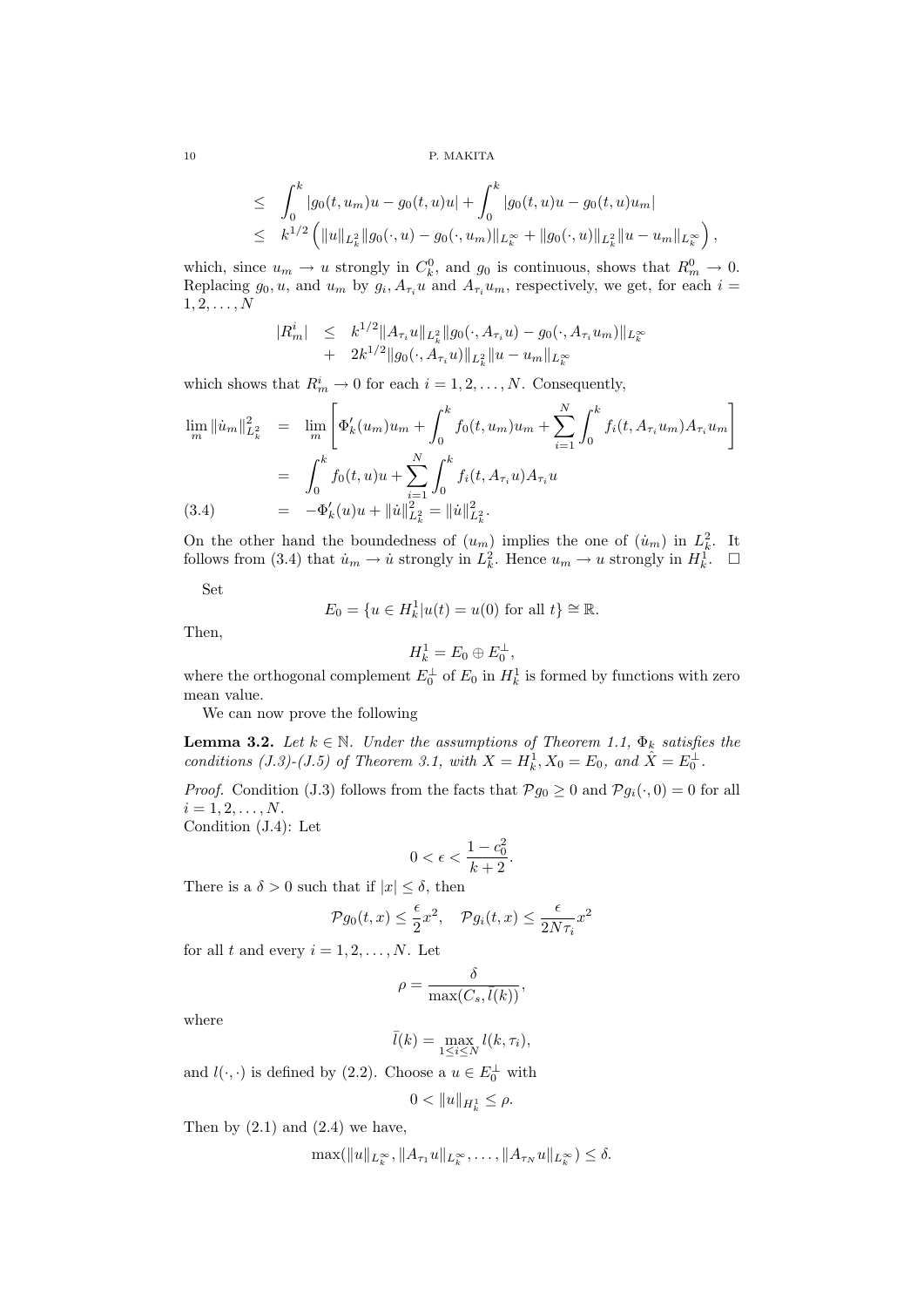10 P. MAKITA

$$
\leq \int_0^k |g_0(t, u_m)u - g_0(t, u)u| + \int_0^k |g_0(t, u)u - g_0(t, u)u_m|
$$
  

$$
\leq k^{1/2} \left( \|u\|_{L^2_k} \|g_0(\cdot, u) - g_0(\cdot, u_m)\|_{L^\infty_k} + \|g_0(\cdot, u)\|_{L^2_k} \|u - u_m\|_{L^\infty_k} \right)
$$

,

which, since  $u_m \to u$  strongly in  $C_k^0$ , and  $g_0$  is continuous, shows that  $R_m^0 \to 0$ . Replacing  $g_0, u$ , and  $u_m$  by  $g_i, A_{\tau_i}u$  and  $A_{\tau_i}u_m$ , respectively, we get, for each  $i =$  $1, 2, \ldots, N$ 

$$
|R_m^i| \leq k^{1/2} \|A_{\tau_i} u\|_{L^2_k} \|g_0(\cdot, A_{\tau_i} u) - g_0(\cdot, A_{\tau_i} u_m)\|_{L^\infty_k}
$$
  
+  $2k^{1/2} \|g_0(\cdot, A_{\tau_i} u)\|_{L^2_k} \|u - u_m\|_{L^\infty_k}$ 

which shows that  $R_m^i \to 0$  for each  $i = 1, 2, ..., N$ . Consequently,

$$
\lim_{m} \|\dot{u}_{m}\|_{L_{k}^{2}}^{2} = \lim_{m} \left[ \Phi'_{k}(u_{m})u_{m} + \int_{0}^{k} f_{0}(t, u_{m})u_{m} + \sum_{i=1}^{N} \int_{0}^{k} f_{i}(t, A_{\tau_{i}}u_{m})A_{\tau_{i}}u_{m} \right]
$$
\n
$$
= \int_{0}^{k} f_{0}(t, u)u + \sum_{i=1}^{N} \int_{0}^{k} f_{i}(t, A_{\tau_{i}}u)A_{\tau_{i}}u
$$
\n(3.4)\n
$$
= -\Phi'_{k}(u)u + \|\dot{u}\|_{L_{k}^{2}}^{2} = \|\dot{u}\|_{L_{k}^{2}}^{2}.
$$

On the other hand the boundedness of  $(u_m)$  implies the one of  $(\dot{u}_m)$  in  $L^2_k$ . It follows from (3.4) that  $\dot{u}_m \to \dot{u}$  strongly in  $L_k^2$ . Hence  $u_m \to u$  strongly in  $H_k^1$ .  $\Box$ 

Set

$$
E_0 = \{ u \in H_k^1 | u(t) = u(0) \text{ for all } t \} \cong \mathbb{R}.
$$

Then,

$$
H_k^1 = E_0 \oplus E_0^{\perp},
$$

where the orthogonal complement  $E_0^{\perp}$  of  $E_0$  in  $H_k^1$  is formed by functions with zero mean value.

We can now prove the following

**Lemma 3.2.** Let  $k \in \mathbb{N}$ . Under the assumptions of Theorem 1.1,  $\Phi_k$  satisfies the conditions (J.3)-(J.5) of Theorem 3.1, with  $X = H_k^1, X_0 = E_0$ , and  $\hat{X} = E_0^{\perp}$ .

*Proof.* Condition (J.3) follows from the facts that  $\mathcal{P}g_0 \geq 0$  and  $\mathcal{P}g_i(\cdot, 0) = 0$  for all  $i = 1, 2, \ldots, N$ .

Condition (J.4): Let

$$
0 < \epsilon < \frac{1 - c_0^2}{k + 2}.
$$

There is a  $\delta > 0$  such that if  $|x| \leq \delta$ , then

$$
\mathcal{P}g_0(t,x) \le \frac{\epsilon}{2}x^2, \quad \mathcal{P}g_i(t,x) \le \frac{\epsilon}{2N\tau_i}x^2
$$

for all t and every  $i = 1, 2, ..., N$ . Let

$$
\rho = \frac{\delta}{\max(C_s, \bar{l}(k))},
$$

where

$$
\bar{l}(k) = \max_{1 \le i \le N} l(k, \tau_i),
$$

and  $l(\cdot, \cdot)$  is defined by (2.2). Choose a  $u \in E_0^{\perp}$  with

$$
0<\|u\|_{H^1_k}\leq \rho.
$$

Then by  $(2.1)$  and  $(2.4)$  we have,

$$
\max(\|u\|_{L^{\infty}_{k}},\|A_{\tau_{1}}u\|_{L^{\infty}_{k}},\ldots,\|A_{\tau_{N}}u\|_{L^{\infty}_{k}})\leq\delta.
$$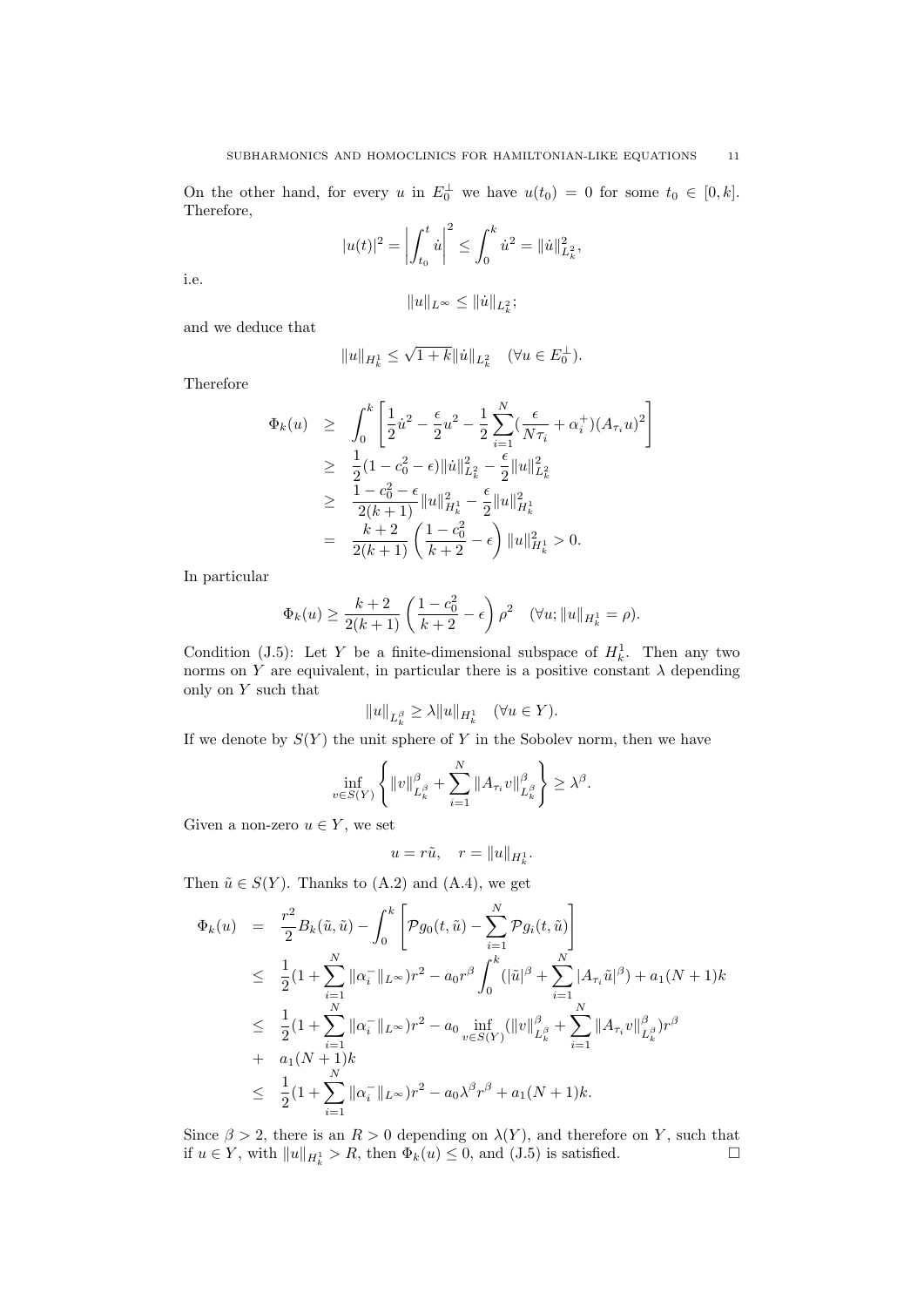On the other hand, for every u in  $E_0^{\perp}$  we have  $u(t_0) = 0$  for some  $t_0 \in [0, k]$ . Therefore,

$$
|u(t)|^2 = \left| \int_{t_0}^t \dot{u} \right|^2 \le \int_0^k \dot{u}^2 = ||\dot{u}||^2_{L^2_k},
$$

i.e.

$$
||u||_{L^{\infty}} \leq ||\dot{u}||_{L^{2}_{k}};
$$

and we deduce that

$$
\|u\|_{H^1_k} \leq \sqrt{1+k} \| \dot{u} \|_{L^2_k} \quad (\forall u \in E_0^{\perp}).
$$

Therefore

$$
\Phi_k(u) \geq \int_0^k \left[ \frac{1}{2} \dot{u}^2 - \frac{\epsilon}{2} u^2 - \frac{1}{2} \sum_{i=1}^N (\frac{\epsilon}{N \tau_i} + \alpha_i^+) (A_{\tau_i} u)^2 \right]
$$
  
\n
$$
\geq \frac{1}{2} (1 - c_0^2 - \epsilon) ||\dot{u}||_{L_k^2}^2 - \frac{\epsilon}{2} ||u||_{L_k^2}^2
$$
  
\n
$$
\geq \frac{1 - c_0^2 - \epsilon}{2(k+1)} ||u||_{H_k^1}^2 - \frac{\epsilon}{2} ||u||_{H_k^1}^2
$$
  
\n
$$
= \frac{k+2}{2(k+1)} \left( \frac{1 - c_0^2}{k+2} - \epsilon \right) ||u||_{H_k^1}^2 > 0.
$$

In particular

$$
\Phi_k(u) \ge \frac{k+2}{2(k+1)} \left( \frac{1-c_0^2}{k+2} - \epsilon \right) \rho^2 \quad (\forall u; \|u\|_{H^1_k} = \rho).
$$

Condition (J.5): Let Y be a finite-dimensional subspace of  $H_k^1$ . Then any two norms on Y are equivalent, in particular there is a positive constant  $\lambda$  depending only on  $Y$  such that

$$
||u||_{L_k^\beta}\geq \lambda ||u||_{H_k^1}\quad (\forall u\in Y).
$$

If we denote by  $S(Y)$  the unit sphere of Y in the Sobolev norm, then we have

$$
\inf_{v \in S(Y)} \left\{ \|v\|_{L^{\beta}_k}^{\beta} + \sum_{i=1}^N \|A_{\tau_i}v\|_{L^{\beta}_k}^{\beta} \right\} \geq \lambda^{\beta}.
$$

Given a non-zero  $u \in Y$ , we set

$$
u = r\tilde{u}, \quad r = \|u\|_{H^1_k}.
$$

Then  $\tilde{u} \in S(Y)$ . Thanks to (A.2) and (A.4), we get

$$
\Phi_k(u) = \frac{r^2}{2} B_k(\tilde{u}, \tilde{u}) - \int_0^k \left[ \mathcal{P}g_0(t, \tilde{u}) - \sum_{i=1}^N \mathcal{P}g_i(t, \tilde{u}) \right]
$$
\n
$$
\leq \frac{1}{2} (1 + \sum_{i=1}^N \|\alpha_i^-\|_{L^\infty}) r^2 - a_0 r^\beta \int_0^k (|\tilde{u}|^\beta + \sum_{i=1}^N |A_{\tau_i} \tilde{u}|^\beta) + a_1 (N+1) k
$$
\n
$$
\leq \frac{1}{2} (1 + \sum_{i=1}^N \|\alpha_i^-\|_{L^\infty}) r^2 - a_0 \inf_{v \in S(Y)} (\|v\|_{L^{\beta}_k}^{\beta} + \sum_{i=1}^N \|A_{\tau_i} v\|_{L^{\beta}_k}^{\beta}) r^\beta
$$
\n
$$
+ a_1 (N+1) k
$$
\n
$$
\leq \frac{1}{2} (1 + \sum_{i=1}^N \|\alpha_i^-\|_{L^\infty}) r^2 - a_0 \lambda^\beta r^\beta + a_1 (N+1) k.
$$

Since  $\beta > 2$ , there is an  $R > 0$  depending on  $\lambda(Y)$ , and therefore on Y, such that if  $u \in Y$ , with  $||u||_{H^1_k} > R$ , then  $\Phi_k(u) \leq 0$ , and  $(1.5)$  is satisfied.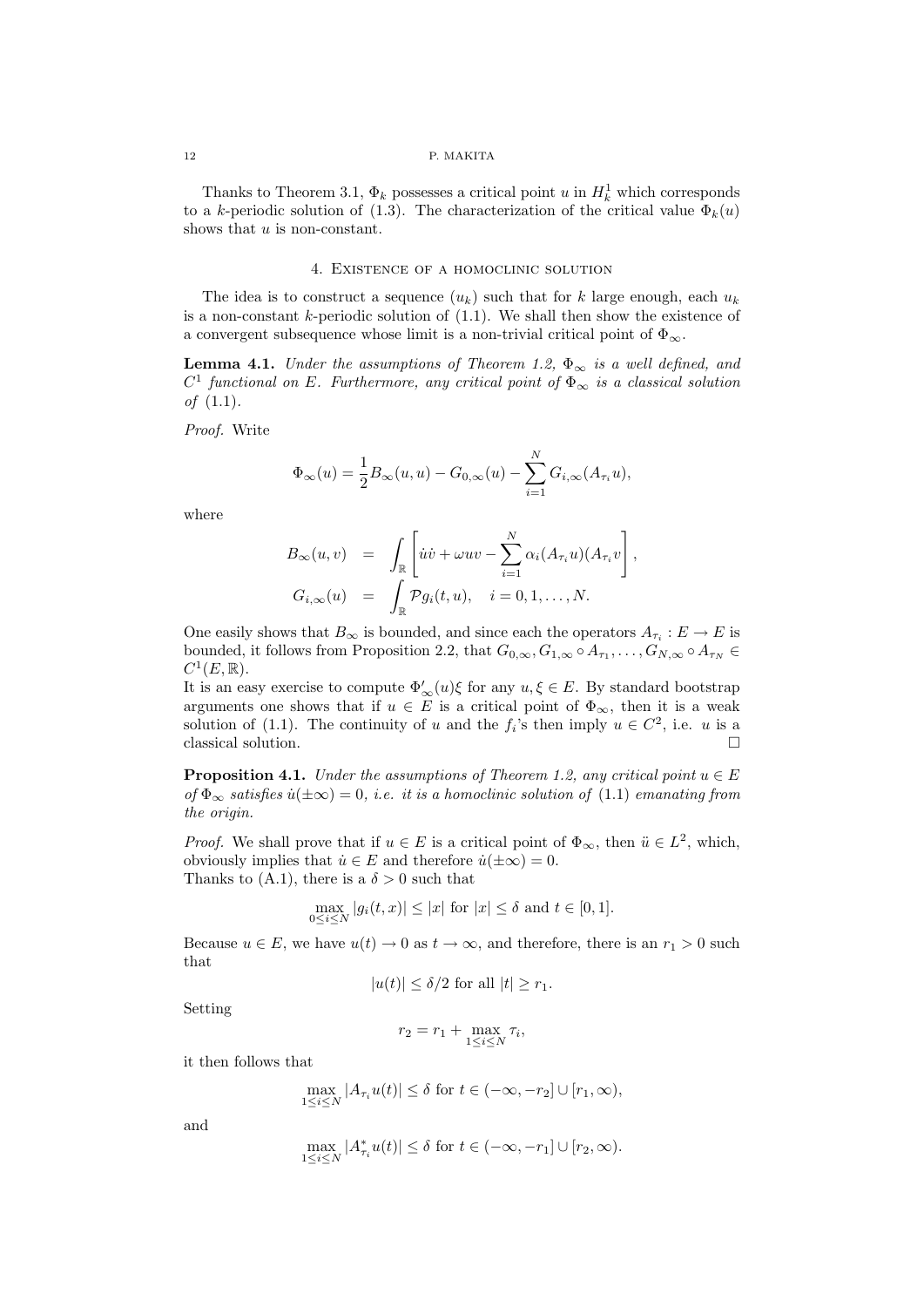#### 12 P. MAKITA

Thanks to Theorem 3.1,  $\Phi_k$  possesses a critical point u in  $H_k^1$  which corresponds to a k-periodic solution of (1.3). The characterization of the critical value  $\Phi_k(u)$ shows that  $u$  is non-constant.

#### 4. Existence of a homoclinic solution

The idea is to construct a sequence  $(u_k)$  such that for k large enough, each  $u_k$ is a non-constant  $k$ -periodic solution of  $(1.1)$ . We shall then show the existence of a convergent subsequence whose limit is a non-trivial critical point of  $\Phi_{\infty}$ .

**Lemma 4.1.** Under the assumptions of Theorem 1.2,  $\Phi_{\infty}$  is a well defined, and  $C<sup>1</sup>$  functional on E. Furthermore, any critical point of  $\Phi_{\infty}$  is a classical solution *of*  $(1.1)$ .

Proof. Write

$$
\Phi_{\infty}(u) = \frac{1}{2}B_{\infty}(u, u) - G_{0, \infty}(u) - \sum_{i=1}^{N} G_{i, \infty}(A_{\tau_i}u),
$$

where

$$
B_{\infty}(u,v) = \int_{\mathbb{R}} \left[ \dot{u}\dot{v} + \omega uv - \sum_{i=1}^{N} \alpha_i (A_{\tau_i} u)(A_{\tau_i} v) \right],
$$
  
\n
$$
G_{i,\infty}(u) = \int_{\mathbb{R}} \mathcal{P}g_i(t,u), \quad i = 0, 1, ..., N.
$$

One easily shows that  $B_{\infty}$  is bounded, and since each the operators  $A_{\tau_i}: E \to E$  is bounded, it follows from Proposition 2.2, that  $G_{0,\infty}, G_{1,\infty} \circ A_{\tau_1}, \ldots, G_{N,\infty} \circ A_{\tau_N} \in$  $C^1(E, \mathbb{R})$ .

It is an easy exercise to compute  $\Phi'_{\infty}(u)\xi$  for any  $u, \xi \in E$ . By standard bootstrap arguments one shows that if  $u \in E$  is a critical point of  $\Phi_{\infty}$ , then it is a weak solution of (1.1). The continuity of u and the  $f_i$ 's then imply  $u \in C^2$ , i.e. u is a classical solution.  $\Box$ 

**Proposition 4.1.** Under the assumptions of Theorem 1.2, any critical point  $u \in E$ of  $\Phi_{\infty}$  satisfies  $\dot{u}(\pm\infty) = 0$ , i.e. it is a homoclinic solution of (1.1) emanating from the origin.

*Proof.* We shall prove that if  $u \in E$  is a critical point of  $\Phi_{\infty}$ , then  $\ddot{u} \in L^2$ , which, obviously implies that  $\dot{u} \in E$  and therefore  $\dot{u}(\pm \infty) = 0$ . Thanks to (A.1), there is a  $\delta > 0$  such that

$$
\max_{0 \le i \le N} |g_i(t, x)| \le |x| \text{ for } |x| \le \delta \text{ and } t \in [0, 1].
$$

Because  $u \in E$ , we have  $u(t) \to 0$  as  $t \to \infty$ , and therefore, there is an  $r_1 > 0$  such that

$$
|u(t)| \le \delta/2
$$
 for all  $|t| \ge r_1$ .

Setting

$$
r_2 = r_1 + \max_{1 \le i \le N} \tau_i,
$$

it then follows that

$$
\max_{1 \leq i \leq N} |A_{\tau_i} u(t)| \leq \delta \text{ for } t \in (-\infty, -r_2] \cup [r_1, \infty),
$$

and

$$
\max_{1 \le i \le N} |A^*_{\tau_i} u(t)| \le \delta \text{ for } t \in (-\infty, -r_1] \cup [r_2, \infty).
$$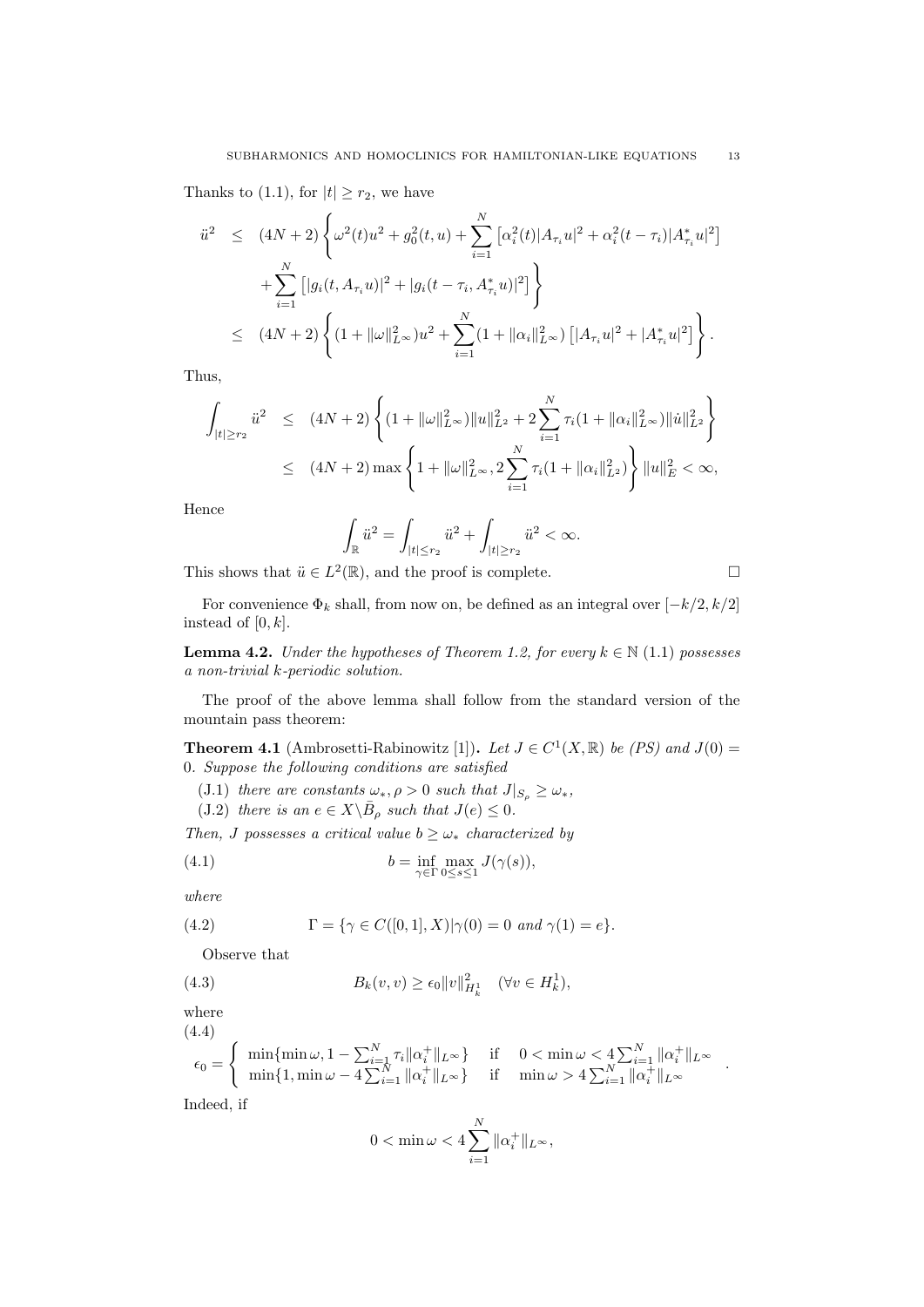Thanks to (1.1), for  $|t| \ge r_2$ , we have

$$
\ddot{u}^{2} \leq (4N+2) \left\{ \omega^{2}(t)u^{2} + g_{0}^{2}(t,u) + \sum_{i=1}^{N} \left[ \alpha_{i}^{2}(t) |A_{\tau_{i}} u|^{2} + \alpha_{i}^{2}(t-\tau_{i}) |A_{\tau_{i}}^{*} u|^{2} \right] \right\} \n+ \sum_{i=1}^{N} \left[ |g_{i}(t, A_{\tau_{i}} u)|^{2} + |g_{i}(t-\tau_{i}, A_{\tau_{i}}^{*} u)|^{2} \right] \left\} \n\leq (4N+2) \left\{ (1 + ||\omega||_{L^{\infty}}^{2})u^{2} + \sum_{i=1}^{N} (1 + ||\alpha_{i}||_{L^{\infty}}^{2}) \left[ |A_{\tau_{i}} u|^{2} + |A_{\tau_{i}}^{*} u|^{2} \right] \right\}.
$$

Thus,

$$
\int_{|t|\geq r_2} \ddot{u}^2 \leq (4N+2) \left\{ (1 + \|\omega\|_{L^{\infty}}^2) \|u\|_{L^2}^2 + 2 \sum_{i=1}^N \tau_i (1 + \|\alpha_i\|_{L^{\infty}}^2) \|u\|_{L^2}^2 \right\}
$$
  

$$
\leq (4N+2) \max \left\{ 1 + \|\omega\|_{L^{\infty}}^2, 2 \sum_{i=1}^N \tau_i (1 + \|\alpha_i\|_{L^2}^2) \right\} \|u\|_E^2 < \infty,
$$

Hence

$$
\int_{\mathbb{R}} \ddot{u}^2 = \int_{|t| \le r_2} \ddot{u}^2 + \int_{|t| \ge r_2} \ddot{u}^2 < \infty.
$$

This shows that  $\ddot{u} \in L^2(\mathbb{R})$ , and the proof is complete.

$$
\Box
$$

.

For convenience  $\Phi_k$  shall, from now on, be defined as an integral over  $[-k/2, k/2]$ instead of  $[0, k]$ .

**Lemma 4.2.** Under the hypotheses of Theorem 1.2, for every  $k \in \mathbb{N}$  (1.1) possesses a non-trivial k-periodic solution.

The proof of the above lemma shall follow from the standard version of the mountain pass theorem:

**Theorem 4.1** (Ambrosetti-Rabinowitz [1]). Let  $J \in C^1(X,\mathbb{R})$  be (PS) and  $J(0)$  = 0. Suppose the following conditions are satisfied

- (J.1) there are constants  $\omega_*, \rho > 0$  such that  $J|_{S_\rho} \ge \omega_*,$
- (J.2) there is an  $e \in X \backslash \overline{B}_{\rho}$  such that  $J(e) \leq 0$ .

Then, J possesses a critical value  $b \geq \omega_*$  characterized by

(4.1) 
$$
b = \inf_{\gamma \in \Gamma} \max_{0 \le s \le 1} J(\gamma(s)),
$$

where

(4.2) 
$$
\Gamma = \{ \gamma \in C([0,1], X) | \gamma(0) = 0 \text{ and } \gamma(1) = e \}.
$$

Observe that

(4.3) 
$$
B_k(v, v) \ge \epsilon_0 \|v\|_{H^1_k}^2 \quad (\forall v \in H^1_k),
$$

where (4.4)

$$
\epsilon_0 = \begin{cases} \min\{\min \omega, 1 - \sum_{i=1}^N \tau_i \| \alpha_i^+ \|_{L^\infty} \} & \text{if } 0 < \min \omega < 4 \sum_{i=1}^N \| \alpha_i^+ \|_{L^\infty} \\ \min\{1, \min \omega - 4 \sum_{i=1}^N \| \alpha_i^+ \|_{L^\infty} \} & \text{if } \min \omega > 4 \sum_{i=1}^N \| \alpha_i^+ \|_{L^\infty} \end{cases}
$$

Indeed, if

$$
0<\min \omega <4\sum_{i=1}^N\|\alpha_i^+\|_{L^\infty},
$$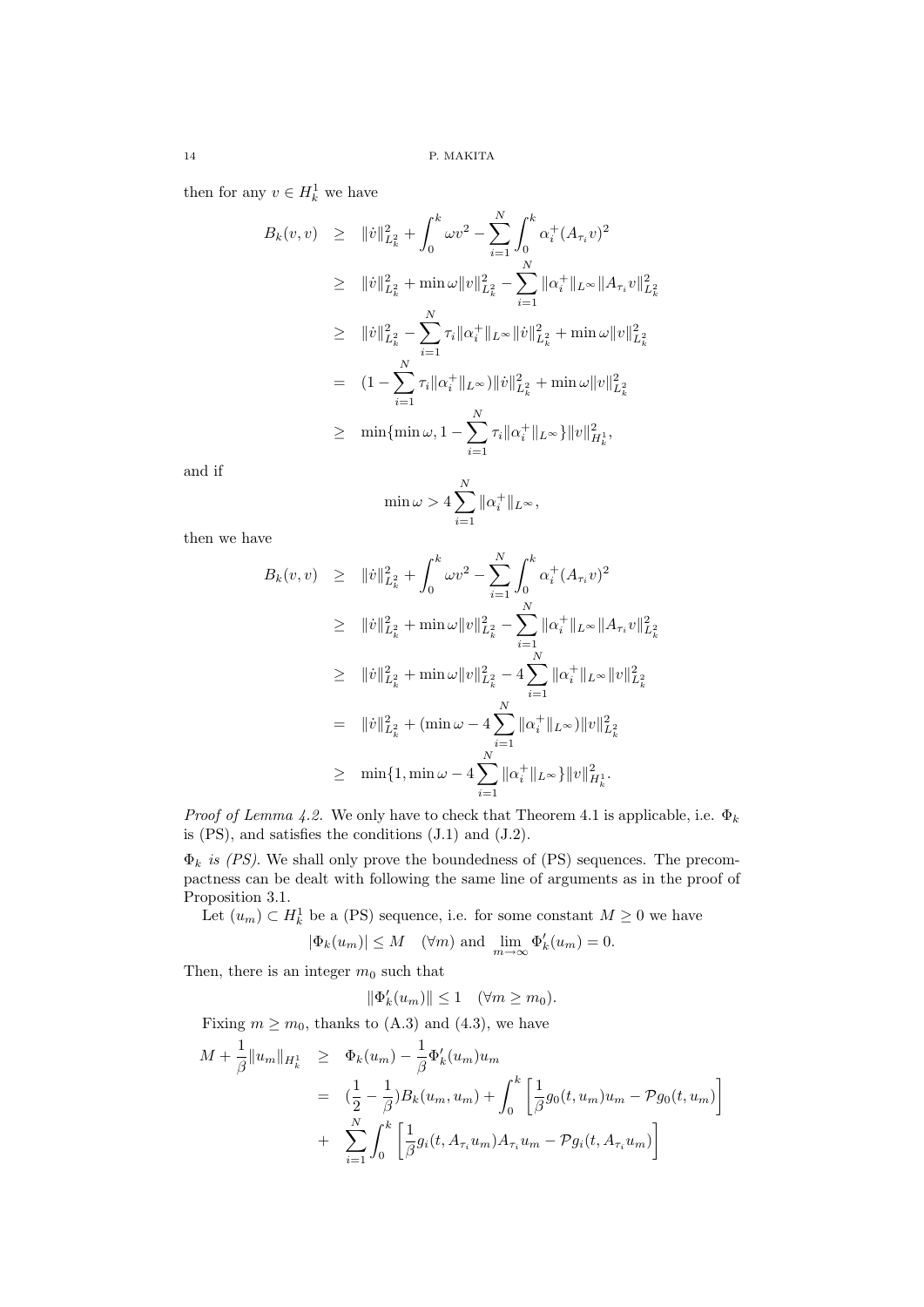then for any  $v \in H_k^1$  we have

$$
B_k(v, v) \geq \|v\|_{L_k^2}^2 + \int_0^k \omega v^2 - \sum_{i=1}^N \int_0^k \alpha_i^+(A_{\tau_i}v)^2
$$
  
\n
$$
\geq \|v\|_{L_k^2}^2 + \min \omega \|v\|_{L_k^2}^2 - \sum_{i=1}^N \|\alpha_i^+\|_{L^\infty} \|A_{\tau_i}v\|_{L_k^2}^2
$$
  
\n
$$
\geq \|v\|_{L_k^2}^2 - \sum_{i=1}^N \tau_i \|\alpha_i^+\|_{L^\infty} \|v\|_{L_k^2}^2 + \min \omega \|v\|_{L_k^2}^2
$$
  
\n
$$
= (1 - \sum_{i=1}^N \tau_i \|\alpha_i^+\|_{L^\infty}) \|v\|_{L_k^2}^2 + \min \omega \|v\|_{L_k^2}^2
$$
  
\n
$$
\geq \min \{\min \omega, 1 - \sum_{i=1}^N \tau_i \|\alpha_i^+\|_{L^\infty}\} \|v\|_{H_k^1}^2,
$$

and if

$$
\min \omega > 4 \sum_{i=1}^{N} \|\alpha_i^+\|_{L^{\infty}},
$$

then we have

$$
B_k(v, v) \geq \|v\|_{L_k^2}^2 + \int_0^k \omega v^2 - \sum_{i=1}^N \int_0^k \alpha_i^+(A_{\tau_i}v)^2
$$
  
\n
$$
\geq \|v\|_{L_k^2}^2 + \min \omega \|v\|_{L_k^2}^2 - \sum_{i=1}^N \|\alpha_i^+\|_{L^\infty} \|A_{\tau_i}v\|_{L_k^2}^2
$$
  
\n
$$
\geq \|v\|_{L_k^2}^2 + \min \omega \|v\|_{L_k^2}^2 - 4 \sum_{i=1}^N \|\alpha_i^+\|_{L^\infty} \|v\|_{L_k^2}^2
$$
  
\n
$$
= \|v\|_{L_k^2}^2 + (\min \omega - 4 \sum_{i=1}^N \|\alpha_i^+\|_{L^\infty}) \|v\|_{L_k^2}^2
$$
  
\n
$$
\geq \min \{1, \min \omega - 4 \sum_{i=1}^N \|\alpha_i^+\|_{L^\infty}\} \|v\|_{H_k^1}^2.
$$

*Proof of Lemma 4.2.* We only have to check that Theorem 4.1 is applicable, i.e.  $\Phi_k$ is (PS), and satisfies the conditions (J.1) and (J.2).

 $\Phi_k$  is (PS). We shall only prove the boundedness of (PS) sequences. The precompactness can be dealt with following the same line of arguments as in the proof of Proposition 3.1.

Let  $(u_m) \subset H_k^1$  be a (PS) sequence, i.e. for some constant  $M \geq 0$  we have

$$
|\Phi_k(u_m)| \leq M
$$
 ( $\forall m$ ) and  $\lim_{m \to \infty} \Phi'_k(u_m) = 0$ .

Then, there is an integer  $m_0$  such that

$$
\|\Phi_k'(u_m)\| \le 1 \quad (\forall m \ge m_0).
$$

Fixing  $m \geq m_0$ , thanks to (A.3) and (4.3), we have

$$
M + \frac{1}{\beta} ||u_m||_{H^1_k} \geq \Phi_k(u_m) - \frac{1}{\beta} \Phi'_k(u_m) u_m
$$
  
=  $(\frac{1}{2} - \frac{1}{\beta}) B_k(u_m, u_m) + \int_0^k \left[ \frac{1}{\beta} g_0(t, u_m) u_m - \mathcal{P} g_0(t, u_m) \right]$   
+  $\sum_{i=1}^N \int_0^k \left[ \frac{1}{\beta} g_i(t, A_{\tau_i} u_m) A_{\tau_i} u_m - \mathcal{P} g_i(t, A_{\tau_i} u_m) \right]$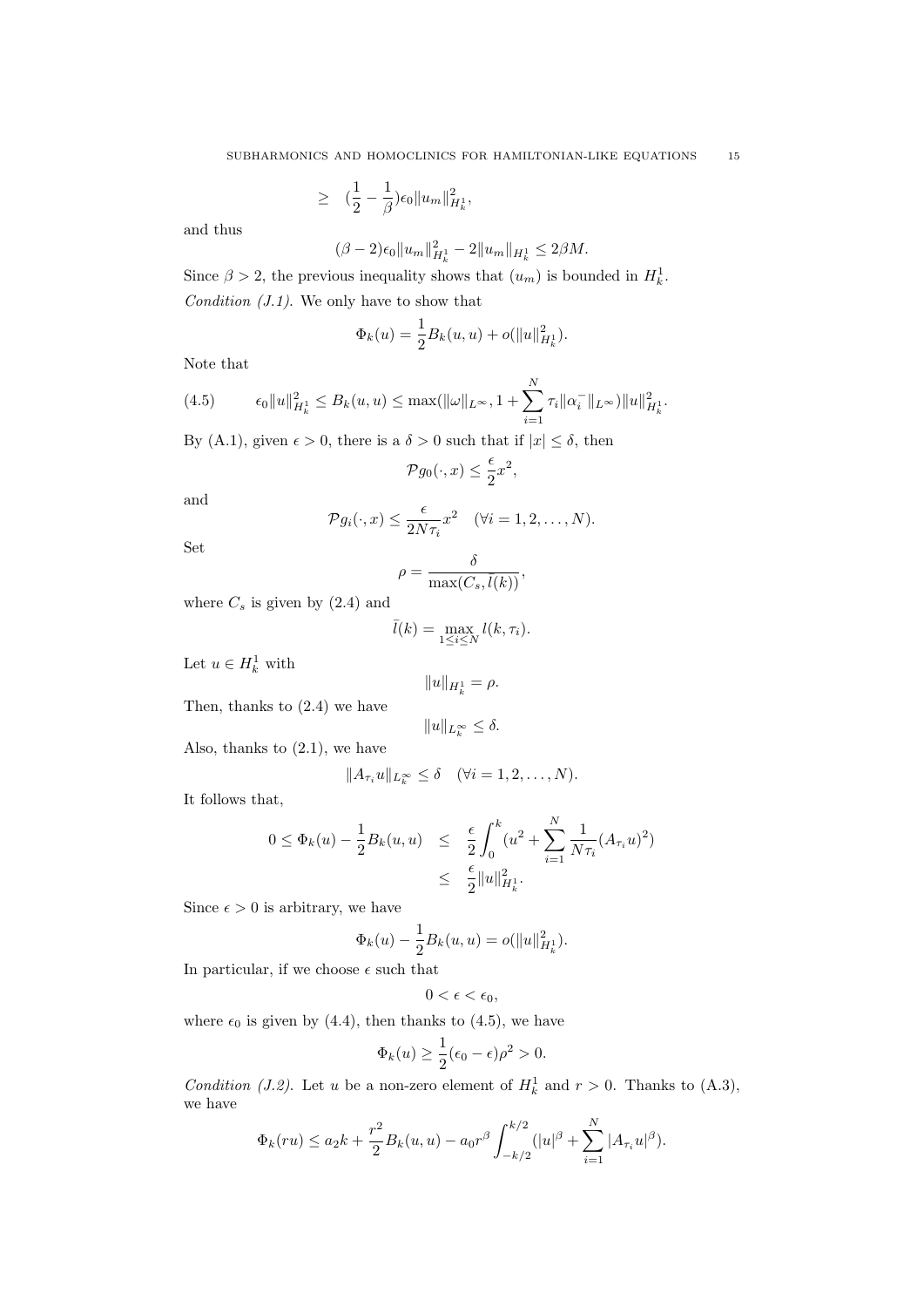$$
\geq \quad (\frac{1}{2} - \frac{1}{\beta})\epsilon_0 \|u_m\|_{H^1_k}^2,
$$

and thus

$$
(\beta - 2)\epsilon_0 \|u_m\|_{H^1_k}^2 - 2\|u_m\|_{H^1_k} \le 2\beta M.
$$

Since  $\beta > 2$ , the previous inequality shows that  $(u_m)$  is bounded in  $H_k^1$ . Condition  $(J.1)$ . We only have to show that

$$
\Phi_k(u) = \frac{1}{2} B_k(u, u) + o(||u||_{H_k^1}^2).
$$

Note that

(4.5) 
$$
\epsilon_0 \|u\|_{H^1_k}^2 \leq B_k(u, u) \leq \max(\|\omega\|_{L^\infty}, 1 + \sum_{i=1}^N \tau_i \|\alpha_i^-\|_{L^\infty}) \|u\|_{H^1_k}^2.
$$

By (A.1), given  $\epsilon > 0$ , there is a  $\delta > 0$  such that if  $|x| \leq \delta$ , then

$$
\mathcal{P}g_0(\cdot, x) \le \frac{\epsilon}{2}x^2,
$$

and

$$
\mathcal{P}g_i(\cdot,x) \leq \frac{\epsilon}{2N\tau_i}x^2 \quad (\forall i=1,2,\ldots,N).
$$

Set

$$
\rho = \frac{\delta}{\max(C_s, \bar{l}(k))},
$$

where  $C_s$  is given by  $(2.4)$  and

$$
\bar{l}(k) = \max_{1 \le i \le N} l(k, \tau_i).
$$

Let  $u \in H_k^1$  with

$$
||u||_{H_k^1} = \rho.
$$

Then, thanks to (2.4) we have

$$
||u||_{L_k^{\infty}} \leq \delta.
$$

Also, thanks to (2.1), we have

$$
||A_{\tau_i}u||_{L_k^{\infty}} \leq \delta \quad (\forall i=1,2,\ldots,N).
$$

It follows that,

$$
0 \le \Phi_k(u) - \frac{1}{2} B_k(u, u) \le \frac{\epsilon}{2} \int_0^k (u^2 + \sum_{i=1}^N \frac{1}{N\tau_i} (A_{\tau_i} u)^2) \le \frac{\epsilon}{2} ||u||_{H_k^1}^2.
$$

Since  $\epsilon > 0$  is arbitrary, we have

$$
\Phi_k(u) - \frac{1}{2} B_k(u, u) = o(||u||^2_{H^1_k}).
$$

In particular, if we choose  $\epsilon$  such that

$$
0<\epsilon<\epsilon_0,
$$

where  $\epsilon_0$  is given by (4.4), then thanks to (4.5), we have

$$
\Phi_k(u) \ge \frac{1}{2}(\epsilon_0 - \epsilon)\rho^2 > 0.
$$

Condition (J.2). Let u be a non-zero element of  $H_k^1$  and  $r > 0$ . Thanks to (A.3), we have

$$
\Phi_k(ru) \le a_2k + \frac{r^2}{2}B_k(u,u) - a_0r^{\beta}\int_{-k/2}^{k/2} (|u|^{\beta} + \sum_{i=1}^N |A_{\tau_i}u|^{\beta}).
$$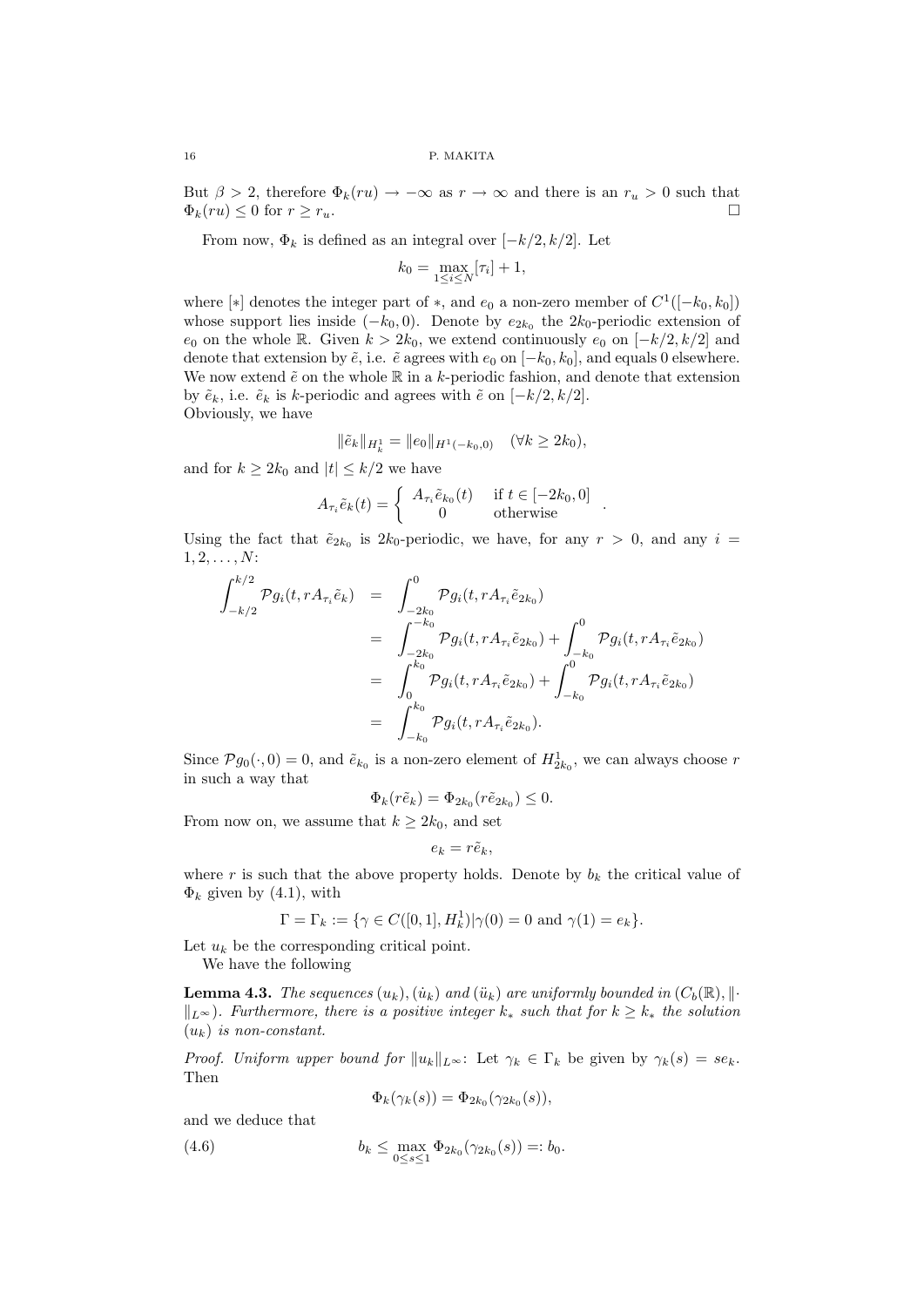But  $\beta > 2$ , therefore  $\Phi_k(ru) \to -\infty$  as  $r \to \infty$  and there is an  $r_u > 0$  such that  $\Phi_k(ru) < 0$  for  $r > r_u$ .  $\Phi_k(ru) \leq 0$  for  $r \geq r_u$ .

From now,  $\Phi_k$  is defined as an integral over  $[-k/2, k/2]$ . Let

$$
k_0 = \max_{1 \le i \le N} [\tau_i] + 1,
$$

where [\*] denotes the integer part of \*, and  $e_0$  a non-zero member of  $C^1([-k_0, k_0])$ whose support lies inside  $(-k_0, 0)$ . Denote by  $e_{2k_0}$  the  $2k_0$ -periodic extension of  $e_0$  on the whole R. Given  $k > 2k_0$ , we extend continuously  $e_0$  on  $[-k/2, k/2]$  and denote that extension by  $\tilde{e}$ , i.e.  $\tilde{e}$  agrees with  $e_0$  on  $[-k_0, k_0]$ , and equals 0 elsewhere. We now extend  $\tilde{e}$  on the whole  $\mathbb R$  in a k-periodic fashion, and denote that extension by  $\tilde{e}_k$ , i.e.  $\tilde{e}_k$  is k-periodic and agrees with  $\tilde{e}$  on  $[-k/2, k/2]$ . Obviously, we have

$$
\|\tilde{e}_k\|_{H^1_k} = \|e_0\|_{H^1(-k_0,0)} \quad (\forall k \ge 2k_0),
$$

and for  $k \geq 2k_0$  and  $|t| \leq k/2$  we have

$$
A_{\tau_i} \tilde{e}_k(t) = \begin{cases} A_{\tau_i} \tilde{e}_{k_0}(t) & \text{if } t \in [-2k_0, 0] \\ 0 & \text{otherwise} \end{cases} .
$$

Using the fact that  $\tilde{e}_{2k_0}$  is  $2k_0$ -periodic, we have, for any  $r > 0$ , and any  $i =$  $1, 2, \ldots, N$ :

$$
\int_{-k/2}^{k/2} \mathcal{P}g_i(t, rA_{\tau_i}\tilde{e}_k) = \int_{-2k_0}^{0} \mathcal{P}g_i(t, rA_{\tau_i}\tilde{e}_{2k_0})
$$
\n
$$
= \int_{-2k_0}^{-k_0} \mathcal{P}g_i(t, rA_{\tau_i}\tilde{e}_{2k_0}) + \int_{-k_0}^{0} \mathcal{P}g_i(t, rA_{\tau_i}\tilde{e}_{2k_0})
$$
\n
$$
= \int_{0}^{k_0} \mathcal{P}g_i(t, rA_{\tau_i}\tilde{e}_{2k_0}) + \int_{-k_0}^{0} \mathcal{P}g_i(t, rA_{\tau_i}\tilde{e}_{2k_0})
$$
\n
$$
= \int_{-k_0}^{k_0} \mathcal{P}g_i(t, rA_{\tau_i}\tilde{e}_{2k_0}).
$$

Since  $\mathcal{P}g_0(\cdot,0)=0$ , and  $\tilde{e}_{k_0}$  is a non-zero element of  $H^1_{2k_0}$ , we can always choose r in such a way that

$$
\Phi_k(r\tilde{e}_k) = \Phi_{2k_0}(r\tilde{e}_{2k_0}) \leq 0.
$$

From now on, we assume that  $k \geq 2k_0$ , and set

$$
e_k = r \tilde{e}_k,
$$

where r is such that the above property holds. Denote by  $b_k$  the critical value of  $\Phi_k$  given by (4.1), with

$$
\Gamma = \Gamma_k := \{ \gamma \in C([0,1], H^1_k) | \gamma(0) = 0 \text{ and } \gamma(1) = e_k \}.
$$

Let  $u_k$  be the corresponding critical point.

We have the following

**Lemma 4.3.** The sequences  $(u_k)$ ,  $(\dot{u}_k)$  and  $(\ddot{u}_k)$  are uniformly bounded in  $(C_b(\mathbb{R}), ||\cdot||)$  $||_{L^{\infty}}$ ). Furthermore, there is a positive integer  $k_{*}$  such that for  $k \geq k_{*}$  the solution  $(u_k)$  is non-constant.

*Proof. Uniform upper bound for*  $||u_k||_{L^{\infty}}$ : Let  $\gamma_k \in \Gamma_k$  be given by  $\gamma_k(s) = s e_k$ . Then

$$
\Phi_k(\gamma_k(s)) = \Phi_{2k_0}(\gamma_{2k_0}(s)),
$$

and we deduce that

(4.6) 
$$
b_k \leq \max_{0 \leq s \leq 1} \Phi_{2k_0}(\gamma_{2k_0}(s)) =: b_0.
$$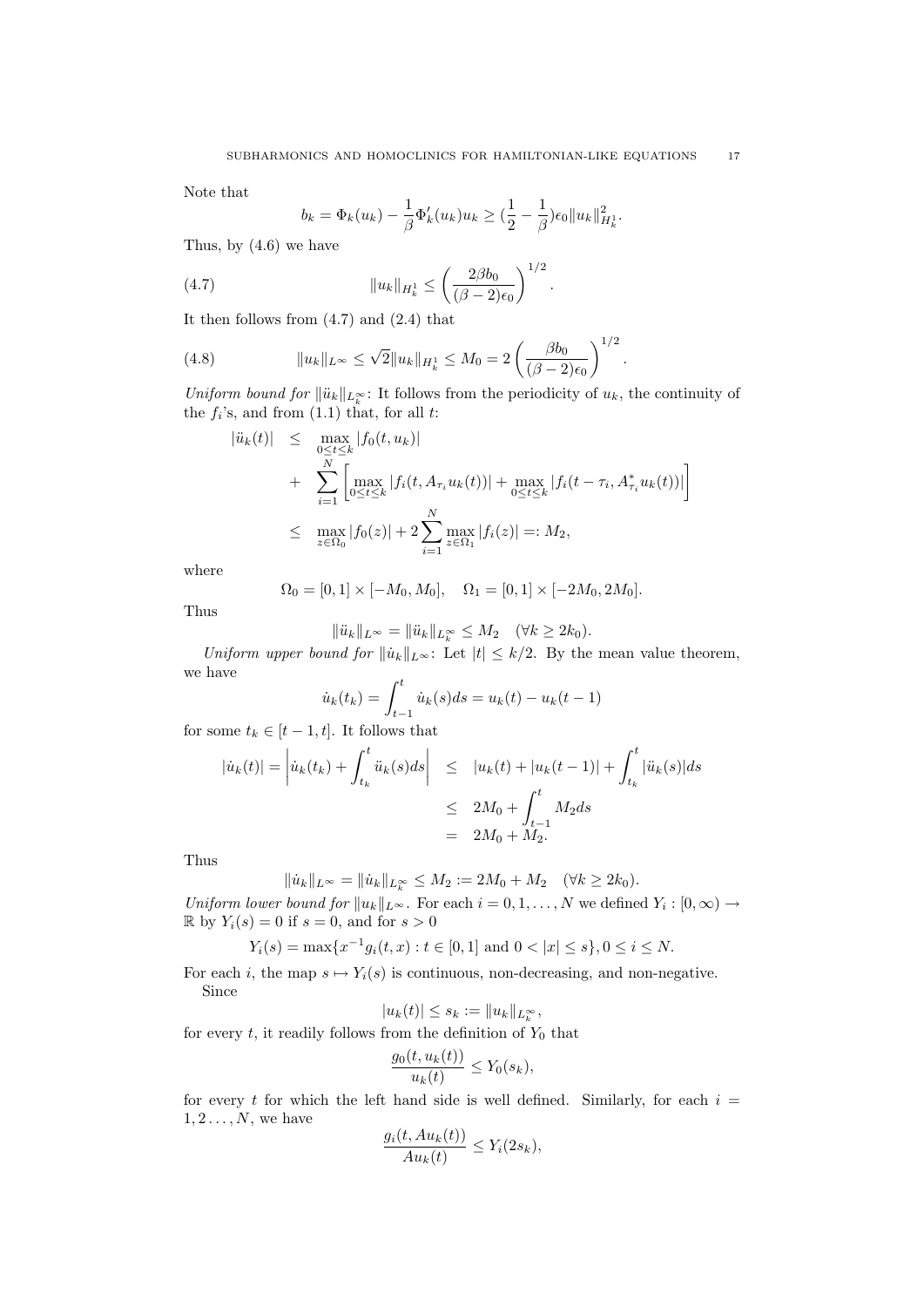Note that

$$
b_k = \Phi_k(u_k) - \frac{1}{\beta} \Phi'_k(u_k) u_k \geq (\frac{1}{2} - \frac{1}{\beta}) \epsilon_0 \|u_k\|_{H^1_k}^2.
$$

Thus, by (4.6) we have

(4.7) 
$$
||u_k||_{H_k^1} \le \left(\frac{2\beta b_0}{(\beta - 2)\epsilon_0}\right)^{1/2}.
$$

It then follows from (4.7) and (2.4) that

(4.8) 
$$
||u_k||_{L^{\infty}} \le \sqrt{2}||u_k||_{H^1_k} \le M_0 = 2\left(\frac{\beta b_0}{(\beta - 2)\epsilon_0}\right)^{1/2}.
$$

Uniform bound for  $\|\ddot{u}_k\|_{L_k^{\infty}}$ : It follows from the periodicity of  $u_k$ , the continuity of the  $f_i$ 's, and from  $(1.1)$  that, for all t:

$$
|ii_k(t)| \leq \max_{0 \leq t \leq k} |f_0(t, u_k)|
$$
  
+ 
$$
\sum_{i=1}^N \left[ \max_{0 \leq t \leq k} |f_i(t, A_{\tau_i} u_k(t))| + \max_{0 \leq t \leq k} |f_i(t - \tau_i, A_{\tau_i}^* u_k(t))| \right]
$$
  

$$
\leq \max_{z \in \Omega_0} |f_0(z)| + 2 \sum_{i=1}^N \max_{z \in \Omega_1} |f_i(z)| =: M_2,
$$

where

$$
\Omega_0 = [0, 1] \times [-M_0, M_0], \quad \Omega_1 = [0, 1] \times [-2M_0, 2M_0].
$$

Thus

$$
\|\ddot{u}_k\|_{L^{\infty}} = \|\ddot{u}_k\|_{L^{\infty}_k} \le M_2 \quad (\forall k \ge 2k_0).
$$

Uniform upper bound for  $||\dot{u}_k||_{L^{\infty}}$ : Let  $|t| \leq k/2$ . By the mean value theorem, we have

$$
\dot{u}_k(t_k) = \int_{t-1}^t \dot{u}_k(s)ds = u_k(t) - u_k(t-1)
$$

for some  $t_k \in [t-1, t]$ . It follows that

$$
|\dot{u}_k(t)| = \left| \dot{u}_k(t_k) + \int_{t_k}^t \ddot{u}_k(s)ds \right| \leq |u_k(t) + |u_k(t-1)| + \int_{t_k}^t |\ddot{u}_k(s)|ds
$$
  

$$
\leq 2M_0 + \int_{t-1}^t M_2ds
$$
  

$$
= 2M_0 + M_2.
$$

Thus

 $\|\dot{u}_k\|_{L^\infty} = \|\dot{u}_k\|_{L^\infty_k} \le M_2 := 2M_0 + M_2 \quad (\forall k \ge 2k_0).$ 

Uniform lower bound for  $||u_k||_{L^{\infty}}$ . For each  $i = 0, 1, ..., N$  we defined  $Y_i : [0, \infty) \to$  $\mathbb{R}$  by  $Y_i(s) = 0$  if  $s = 0$ , and for  $s > 0$ 

 $Y_i(s) = \max\{x^{-1}g_i(t,x): t \in [0,1] \text{ and } 0 < |x| \le s\}, 0 \le i \le N.$ 

For each i, the map  $s \mapsto Y_i(s)$  is continuous, non-decreasing, and non-negative. Since

$$
|u_k(t)|\leq s_k:=\|u_k\|_{L_k^\infty},
$$

for every  $t$ , it readily follows from the definition of  $Y_0$  that

$$
\frac{g_0(t, u_k(t))}{u_k(t)} \le Y_0(s_k),
$$

for every t for which the left hand side is well defined. Similarly, for each  $i =$  $1, 2, \ldots, N$ , we have

$$
\frac{g_i(t, Au_k(t))}{Au_k(t)} \le Y_i(2s_k),
$$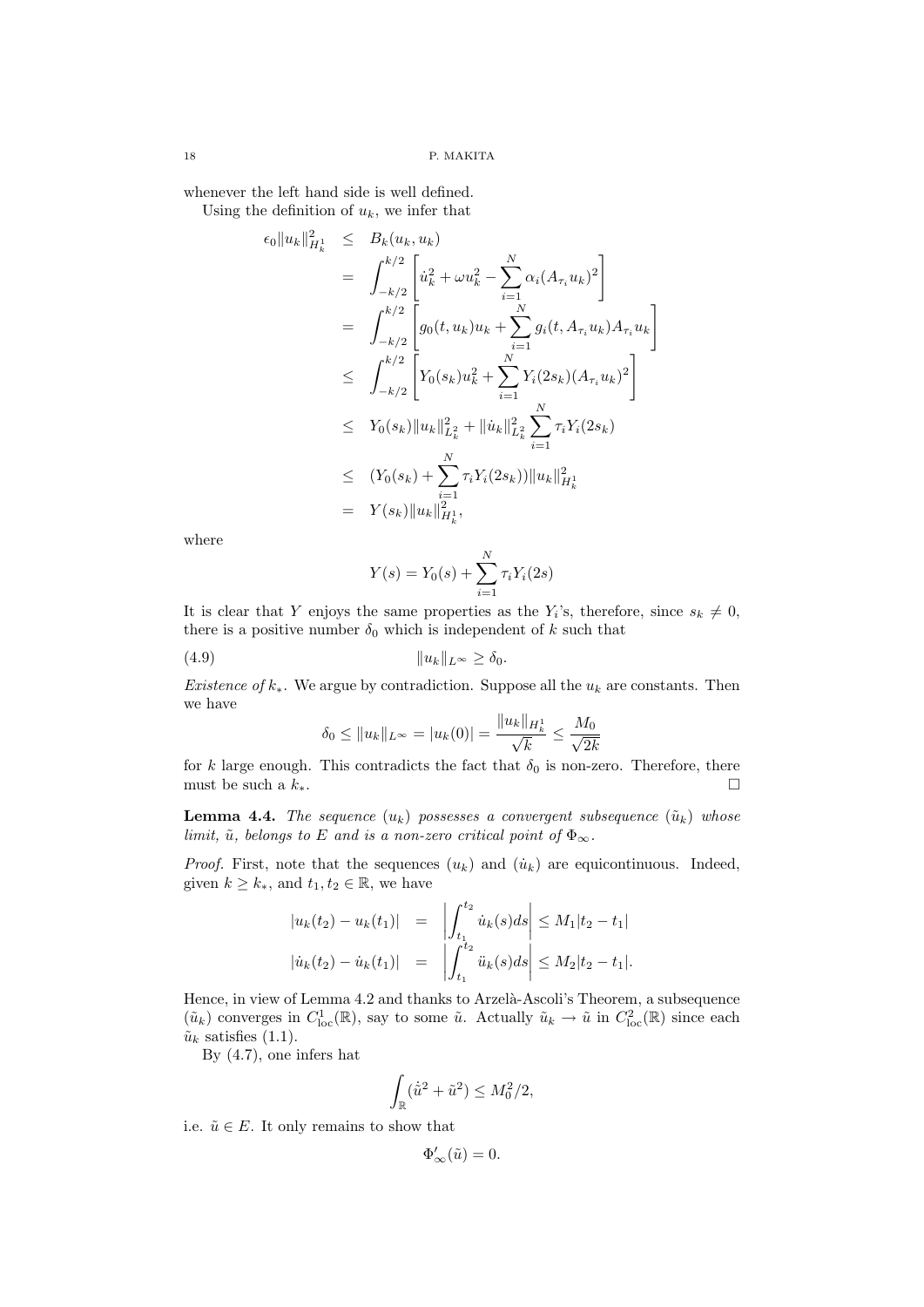whenever the left hand side is well defined. Using the definition of  $u_k$ , we infer that

$$
\epsilon_0 \|u_k\|_{H_k^1}^2 \leq B_k(u_k, u_k)
$$
\n
$$
= \int_{-k/2}^{k/2} \left[ \dot{u}_k^2 + \omega u_k^2 - \sum_{i=1}^N \alpha_i (A_{\tau_i} u_k)^2 \right]
$$
\n
$$
= \int_{-k/2}^{k/2} \left[ g_0(t, u_k) u_k + \sum_{i=1}^N g_i(t, A_{\tau_i} u_k) A_{\tau_i} u_k \right]
$$
\n
$$
\leq \int_{-k/2}^{k/2} \left[ Y_0(s_k) u_k^2 + \sum_{i=1}^N Y_i(2s_k) (A_{\tau_i} u_k)^2 \right]
$$
\n
$$
\leq Y_0(s_k) \|u_k\|_{L_k^2}^2 + \|\dot{u}_k\|_{L_k^2}^2 \sum_{i=1}^N \tau_i Y_i(2s_k)
$$
\n
$$
\leq (Y_0(s_k) + \sum_{i=1}^N \tau_i Y_i(2s_k)) \|u_k\|_{H_k^1}^2
$$
\n
$$
= Y(s_k) \|u_k\|_{H_k^1}^2,
$$

where

$$
Y(s) = Y_0(s) + \sum_{i=1}^{N} \tau_i Y_i(2s)
$$

It is clear that Y enjoys the same properties as the  $Y_i$ 's, therefore, since  $s_k \neq 0$ , there is a positive number  $\delta_0$  which is independent of k such that

(4.9) kukkL<sup>∞</sup> ≥ δ0.

Existence of  $k_*$ . We argue by contradiction. Suppose all the  $u_k$  are constants. Then we have

$$
\delta_0 \le ||u_k||_{L^{\infty}} = |u_k(0)| = \frac{||u_k||_{H^1_k}}{\sqrt{k}} \le \frac{M_0}{\sqrt{2k}}
$$

for k large enough. This contradicts the fact that  $\delta_0$  is non-zero. Therefore, there must be such a  $k_*$ .

**Lemma 4.4.** The sequence  $(u_k)$  possesses a convergent subsequence  $(\tilde{u}_k)$  whose limit,  $\tilde{u}$ , belongs to E and is a non-zero critical point of  $\Phi_{\infty}$ .

*Proof.* First, note that the sequences  $(u_k)$  and  $(\dot{u}_k)$  are equicontinuous. Indeed, given  $k \geq k_*$ , and  $t_1, t_2 \in \mathbb{R}$ , we have

$$
\begin{aligned}\n|u_k(t_2) - u_k(t_1)| &= \left| \int_{t_1}^{t_2} \dot{u}_k(s) ds \right| \le M_1 |t_2 - t_1| \\
|\dot{u}_k(t_2) - \dot{u}_k(t_1)| &= \left| \int_{t_1}^{t_2} \ddot{u}_k(s) ds \right| \le M_2 |t_2 - t_1|\n\end{aligned}
$$

Hence, in view of Lemma 4.2 and thanks to Arzelà-Ascoli's Theorem, a subsequence  $(\tilde{u}_k)$  converges in  $C^1_{loc}(\mathbb{R})$ , say to some  $\tilde{u}$ . Actually  $\tilde{u}_k \to \tilde{u}$  in  $C^2_{loc}(\mathbb{R})$  since each  $\tilde{u}_k$  satisfies (1.1).

By (4.7), one infers hat

$$
\int_{\mathbb{R}} (\dot{\tilde{u}}^2 + \tilde{u}^2) \le M_0^2/2,
$$

i.e.  $\tilde{u} \in E$ . It only remains to show that

 $\Phi_{\infty}'(\tilde{u}) = 0.$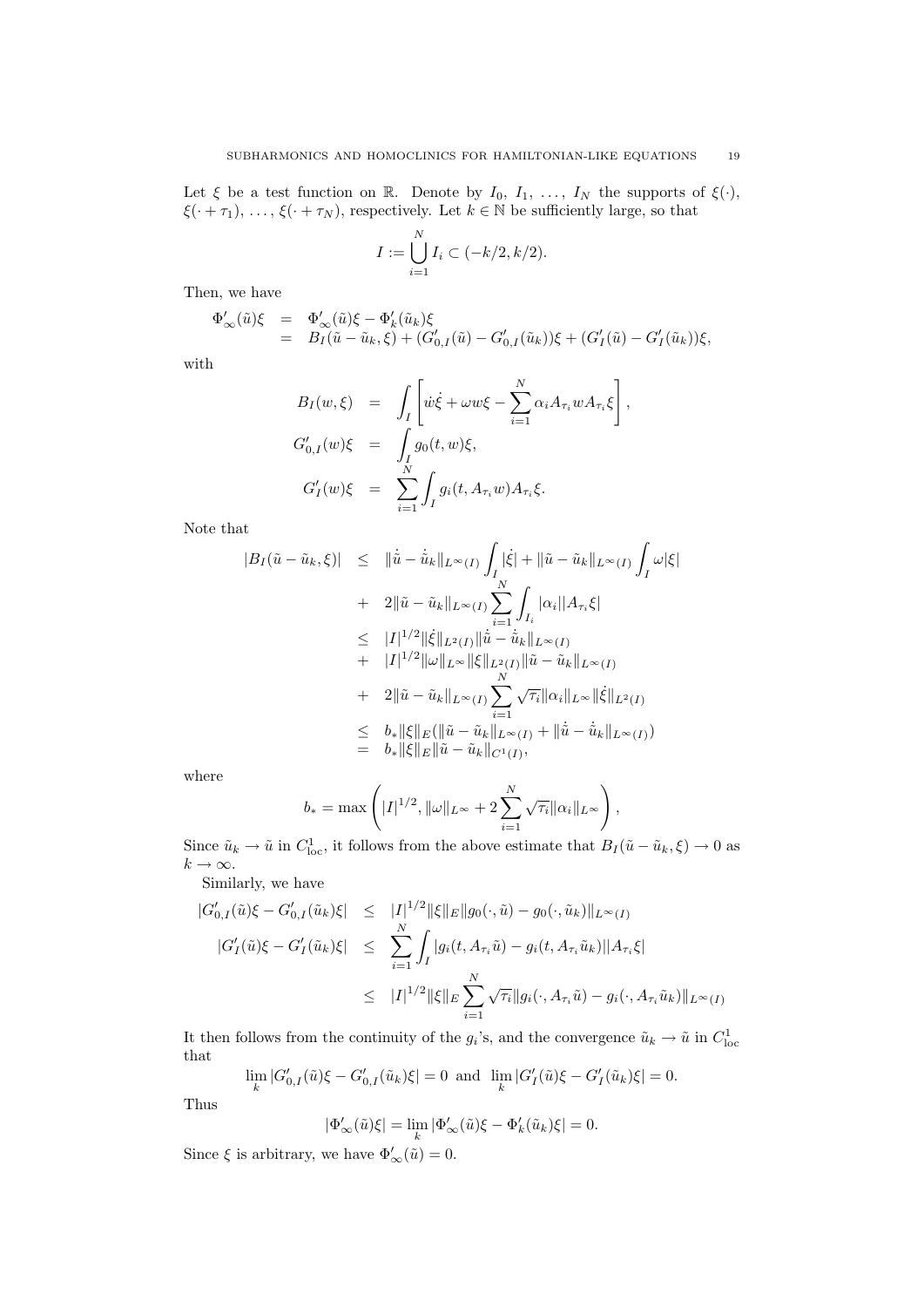Let  $\xi$  be a test function on R. Denote by  $I_0, I_1, \ldots, I_N$  the supports of  $\xi(\cdot)$ ,  $\xi(\cdot + \tau_1), \ldots, \xi(\cdot + \tau_N)$ , respectively. Let  $k \in \mathbb{N}$  be sufficiently large, so that

$$
I := \bigcup_{i=1}^{N} I_i \subset (-k/2, k/2).
$$

Then, we have

$$
\begin{array}{lll} \Phi^{\prime}_{\infty}(\tilde{u})\xi & = & \Phi^{\prime}_{\infty}(\tilde{u})\xi-\Phi^{\prime}_{k}(\tilde{u}_{k})\xi \\ & = & B_{I}(\tilde{u}-\tilde{u}_{k},\xi)+(G^{\prime}_{0,I}(\tilde{u})-G^{\prime}_{0,I}(\tilde{u}_{k}))\xi+(G^{\prime}_{I}(\tilde{u})-G^{\prime}_{I}(\tilde{u}_{k}))\xi, \end{array}
$$

with

$$
B_I(w,\xi) = \int_I \left[ \dot{w}\dot{\xi} + \omega w \xi - \sum_{i=1}^N \alpha_i A_{\tau_i} w A_{\tau_i} \xi \right],
$$
  
\n
$$
G'_{0,I}(w)\xi = \int_I g_0(t,w)\xi,
$$
  
\n
$$
G'_I(w)\xi = \sum_{i=1}^N \int_I g_i(t, A_{\tau_i} w) A_{\tau_i} \xi.
$$

Note that

$$
|B_{I}(\tilde{u} - \tilde{u}_{k}, \xi)| \leq \|\dot{\tilde{u}} - \dot{\tilde{u}}_{k}\|_{L^{\infty}(I)} \int_{I} |\dot{\xi}| + \|\tilde{u} - \tilde{u}_{k}\|_{L^{\infty}(I)} \int_{I} \omega |\xi|
$$
  
+ 
$$
2\|\tilde{u} - \tilde{u}_{k}\|_{L^{\infty}(I)} \sum_{i=1}^{N} \int_{I_{i}} |\alpha_{i}| |A_{\tau_{i}} \xi|
$$
  

$$
\leq |I|^{1/2} \|\dot{\xi}\|_{L^{2}(I)} \|\dot{\tilde{u}} - \dot{\tilde{u}}_{k}\|_{L^{\infty}(I)}
$$
  
+ 
$$
|I|^{1/2} \|\omega\|_{L^{\infty}} \|\xi\|_{L^{2}(I)} \|\tilde{u} - \tilde{u}_{k}\|_{L^{\infty}(I)}
$$
  
+ 
$$
2\|\tilde{u} - \tilde{u}_{k}\|_{L^{\infty}(I)} \sum_{i=1}^{N} \sqrt{\tau_{i}} \|\alpha_{i}\|_{L^{\infty}} \|\dot{\xi}\|_{L^{2}(I)}
$$
  

$$
\leq b_{*} \|\xi\|_{E} (\|\tilde{u} - \tilde{u}_{k}\|_{L^{\infty}(I)} + \|\dot{\tilde{u}} - \dot{\tilde{u}}_{k}\|_{L^{\infty}(I)})
$$
  
= 
$$
b_{*} \|\xi\|_{E} \|\tilde{u} - \tilde{u}_{k}\|_{C^{1}(I)},
$$

where

$$
b_* = \max\left( |I|^{1/2}, \|\omega\|_{L^\infty} + 2 \sum_{i=1}^N \sqrt{\tau_i} \|\alpha_i\|_{L^\infty} \right),
$$

Since  $\tilde{u}_k \to \tilde{u}$  in  $C^1_{loc}$ , it follows from the above estimate that  $B_I(\tilde{u} - \tilde{u}_k, \xi) \to 0$  as  $k \to \infty$ .

Similarly, we have

$$
|G'_{0,I}(\tilde{u})\xi - G'_{0,I}(\tilde{u}_k)\xi| \leq |I|^{1/2} \|\xi\|_{E} \|g_0(\cdot, \tilde{u}) - g_0(\cdot, \tilde{u}_k)\|_{L^{\infty}(I)}
$$
  

$$
|G'_{I}(\tilde{u})\xi - G'_{I}(\tilde{u}_k)\xi| \leq \sum_{i=1}^{N} \int_{I} |g_i(t, A_{\tau_i}\tilde{u}) - g_i(t, A_{\tau_i}\tilde{u}_k)||A_{\tau_i}\xi|
$$
  

$$
\leq |I|^{1/2} \|\xi\|_{E} \sum_{i=1}^{N} \sqrt{\tau_i} \|g_i(\cdot, A_{\tau_i}\tilde{u}) - g_i(\cdot, A_{\tau_i}\tilde{u}_k)\|_{L^{\infty}(I)}
$$

It then follows from the continuity of the  $g_i$ 's, and the convergence  $\tilde{u}_k \to \tilde{u}$  in  $C^1_{loc}$ that

$$
\lim_{k} |G'_{0,I}(\tilde{u})\xi - G'_{0,I}(\tilde{u}_k)\xi| = 0 \text{ and } \lim_{k} |G'_{I}(\tilde{u})\xi - G'_{I}(\tilde{u}_k)\xi| = 0.
$$

Thus

$$
|\Phi'_{\infty}(\tilde{u})\xi| = \lim_{k} |\Phi'_{\infty}(\tilde{u})\xi - \Phi'_{k}(\tilde{u}_{k})\xi| = 0.
$$

Since  $\xi$  is arbitrary, we have  $\Phi'_{\infty}(\tilde{u}) = 0$ .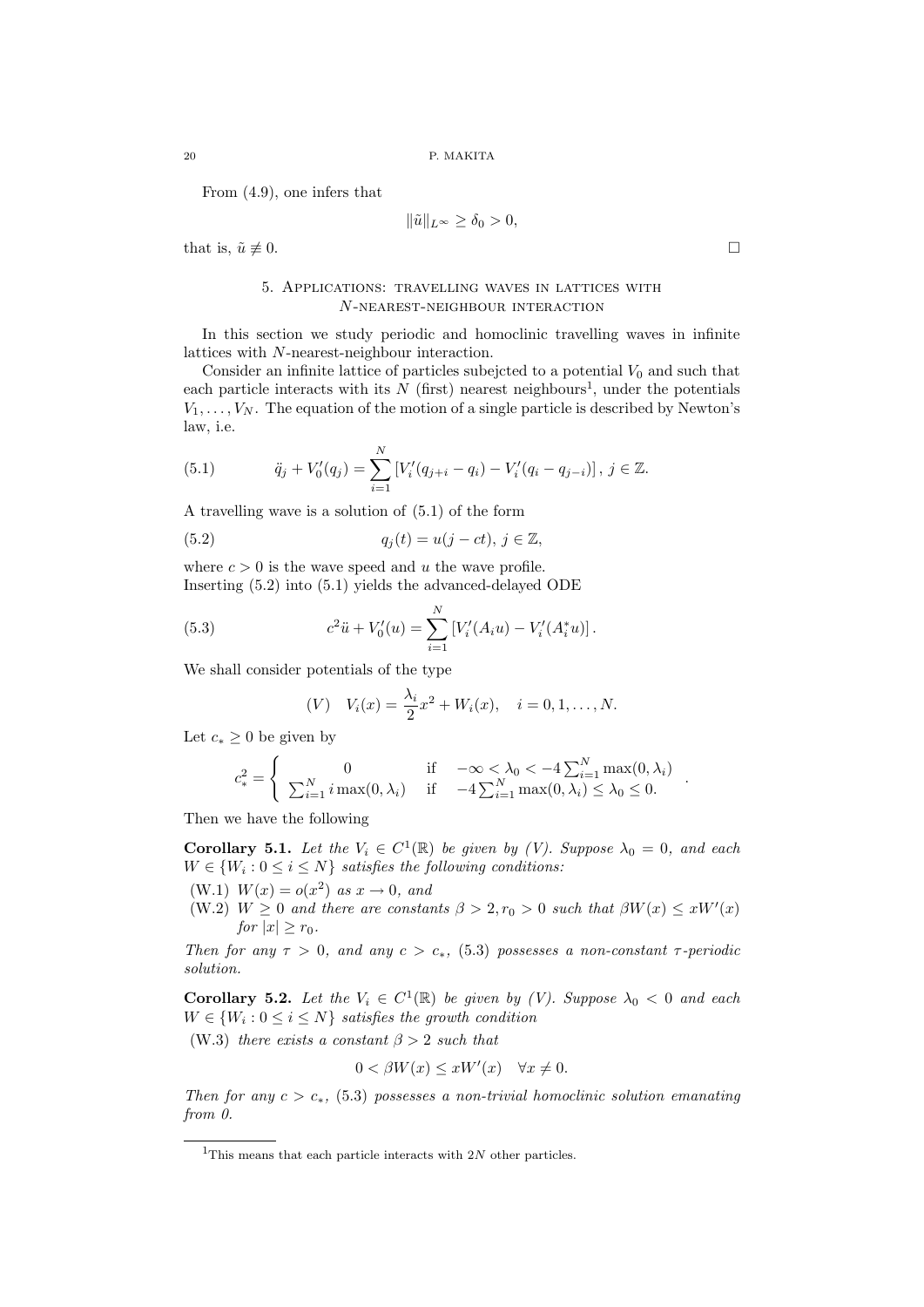From (4.9), one infers that

$$
\|\tilde{u}\|_{L^{\infty}} \ge \delta_0 > 0,
$$

that is,  $\tilde{u} \not\equiv 0$ .

#### 5. Applications: travelling waves in lattices with N-nearest-neighbour interaction

In this section we study periodic and homoclinic travelling waves in infinite lattices with N-nearest-neighbour interaction.

Consider an infinite lattice of particles subejcted to a potential  $V_0$  and such that each particle interacts with its  $N$  (first) nearest neighbours<sup>1</sup>, under the potentials  $V_1, \ldots, V_N$ . The equation of the motion of a single particle is described by Newton's law, i.e.

(5.1) 
$$
\ddot{q}_j + V'_0(q_j) = \sum_{i=1}^N \left[ V'_i(q_{j+i} - q_i) - V'_i(q_i - q_{j-i}) \right], \ j \in \mathbb{Z}.
$$

A travelling wave is a solution of (5.1) of the form

(5.2) 
$$
q_j(t) = u(j-ct), j \in \mathbb{Z},
$$

where  $c > 0$  is the wave speed and u the wave profile. Inserting (5.2) into (5.1) yields the advanced-delayed ODE

(5.3) 
$$
c^2 \ddot{u} + V_0'(u) = \sum_{i=1}^N \left[ V_i'(A_i u) - V_i'(A_i^* u) \right].
$$

We shall consider potentials of the type

$$
(V) \quad V_i(x) = \frac{\lambda_i}{2}x^2 + W_i(x), \quad i = 0, 1, \dots, N.
$$

Let  $c_* \geq 0$  be given by

$$
c_*^2 = \begin{cases} 0 & \text{if } -\infty < \lambda_0 < -4 \sum_{i=1}^N \max(0, \lambda_i) \\ \sum_{i=1}^N i \max(0, \lambda_i) & \text{if } -4 \sum_{i=1}^N \max(0, \lambda_i) \le \lambda_0 \le 0. \end{cases}
$$

Then we have the following

**Corollary 5.1.** Let the  $V_i \in C^1(\mathbb{R})$  be given by (V). Suppose  $\lambda_0 = 0$ , and each  $W \in \{W_i : 0 \leq i \leq N\}$  satisfies the following conditions:

(W.1)  $W(x) = o(x^2)$  as  $x \to 0$ , and

(W.2)  $W \ge 0$  and there are constants  $\beta > 2, r_0 > 0$  such that  $\beta W(x) \le xW'(x)$ for  $|x| > r_0$ .

Then for any  $\tau > 0$ , and any  $c > c_*$ , (5.3) possesses a non-constant  $\tau$ -periodic solution.

**Corollary 5.2.** Let the  $V_i \in C^1(\mathbb{R})$  be given by (V). Suppose  $\lambda_0 < 0$  and each  $W \in \{W_i : 0 \leq i \leq N\}$  satisfies the growth condition

(W.3) there exists a constant  $\beta > 2$  such that

$$
0 < \beta W(x) \le xW'(x) \quad \forall x \ne 0.
$$

Then for any  $c > c_*$ , (5.3) possesses a non-trivial homoclinic solution emanating from  $\theta$ .

<sup>&</sup>lt;sup>1</sup>This means that each particle interacts with  $2N$  other particles.